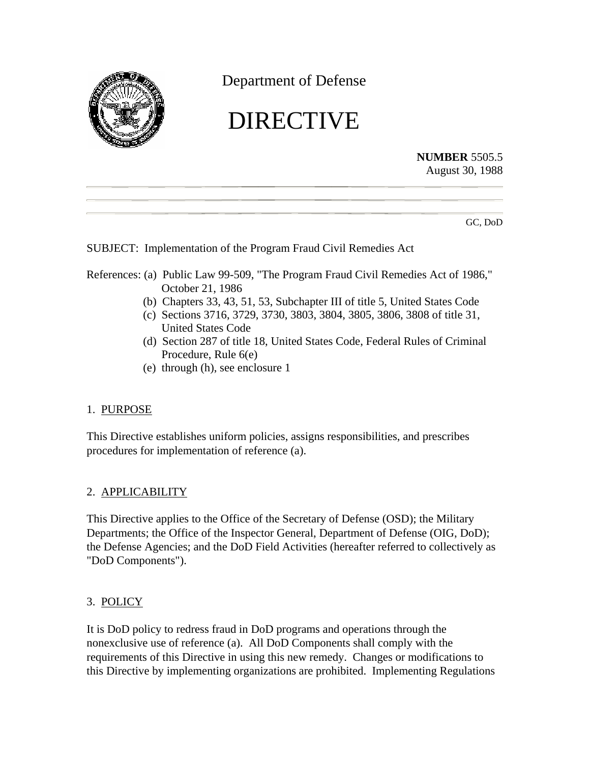

Department of Defense

# DIRECTIVE

**NUMBER** 5505.5 August 30, 1988

GC, DoD

SUBJECT: Implementation of the Program Fraud Civil Remedies Act

- References: (a) Public Law 99-509, "The Program Fraud Civil Remedies Act of 1986," October 21, 1986
	- (b) Chapters 33, 43, 51, 53, Subchapter III of title 5, United States Code
	- (c) Sections 3716, 3729, 3730, 3803, 3804, 3805, 3806, 3808 of title 31, United States Code
	- (d) Section 287 of title 18, United States Code, Federal Rules of Criminal Procedure, Rule 6(e)
	- (e) through (h), see enclosure 1

# 1. PURPOSE

This Directive establishes uniform policies, assigns responsibilities, and prescribes procedures for implementation of reference (a).

### 2. APPLICABILITY

This Directive applies to the Office of the Secretary of Defense (OSD); the Military Departments; the Office of the Inspector General, Department of Defense (OIG, DoD); the Defense Agencies; and the DoD Field Activities (hereafter referred to collectively as "DoD Components").

# 3. POLICY

It is DoD policy to redress fraud in DoD programs and operations through the nonexclusive use of reference (a). All DoD Components shall comply with the requirements of this Directive in using this new remedy. Changes or modifications to this Directive by implementing organizations are prohibited. Implementing Regulations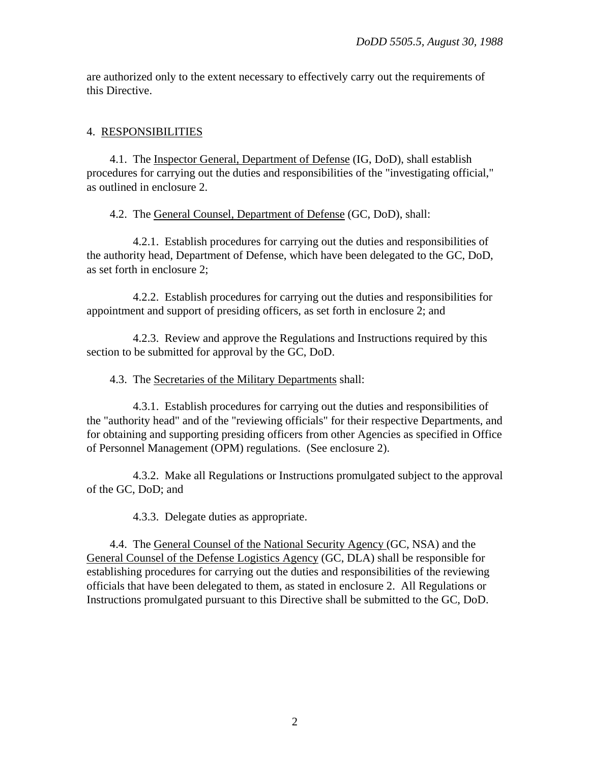are authorized only to the extent necessary to effectively carry out the requirements of this Directive.

## 4. RESPONSIBILITIES

4.1. The Inspector General, Department of Defense (IG, DoD), shall establish procedures for carrying out the duties and responsibilities of the "investigating official," as outlined in enclosure 2.

4.2. The General Counsel, Department of Defense (GC, DoD), shall:

4.2.1. Establish procedures for carrying out the duties and responsibilities of the authority head, Department of Defense, which have been delegated to the GC, DoD, as set forth in enclosure 2;

4.2.2. Establish procedures for carrying out the duties and responsibilities for appointment and support of presiding officers, as set forth in enclosure 2; and

4.2.3. Review and approve the Regulations and Instructions required by this section to be submitted for approval by the GC, DoD.

### 4.3. The Secretaries of the Military Departments shall:

4.3.1. Establish procedures for carrying out the duties and responsibilities of the "authority head" and of the "reviewing officials" for their respective Departments, and for obtaining and supporting presiding officers from other Agencies as specified in Office of Personnel Management (OPM) regulations. (See enclosure 2).

4.3.2. Make all Regulations or Instructions promulgated subject to the approval of the GC, DoD; and

4.3.3. Delegate duties as appropriate.

4.4. The General Counsel of the National Security Agency (GC, NSA) and the General Counsel of the Defense Logistics Agency (GC, DLA) shall be responsible for establishing procedures for carrying out the duties and responsibilities of the reviewing officials that have been delegated to them, as stated in enclosure 2. All Regulations or Instructions promulgated pursuant to this Directive shall be submitted to the GC, DoD.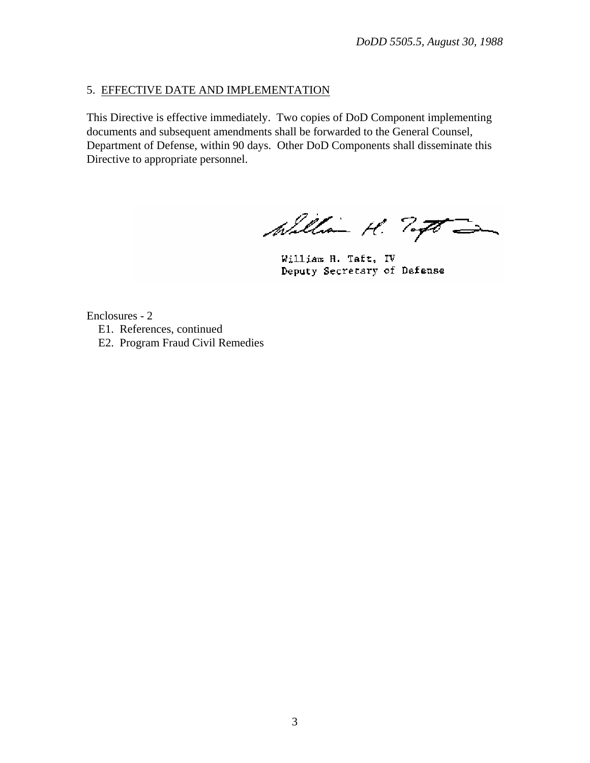# 5. EFFECTIVE DATE AND IMPLEMENTATION

This Directive is effective immediately. Two copies of DoD Component implementing documents and subsequent amendments shall be forwarded to the General Counsel, Department of Defense, within 90 days. Other DoD Components shall disseminate this Directive to appropriate personnel.

William H. Togo -

William H. Taft, IV Deputy Secretary of Defense

Enclosures - 2 E1. References, continued

E2. Program Fraud Civil Remedies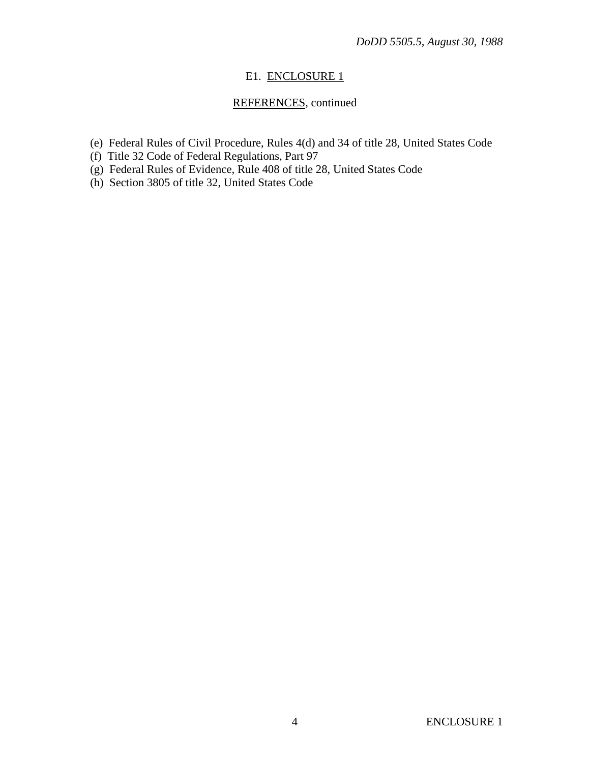## E1. ENCLOSURE 1

# REFERENCES, continued

- (e) Federal Rules of Civil Procedure, Rules 4(d) and 34 of title 28, United States Code
- (f) Title 32 Code of Federal Regulations, Part 97
- (g) Federal Rules of Evidence, Rule 408 of title 28, United States Code
- (h) Section 3805 of title 32, United States Code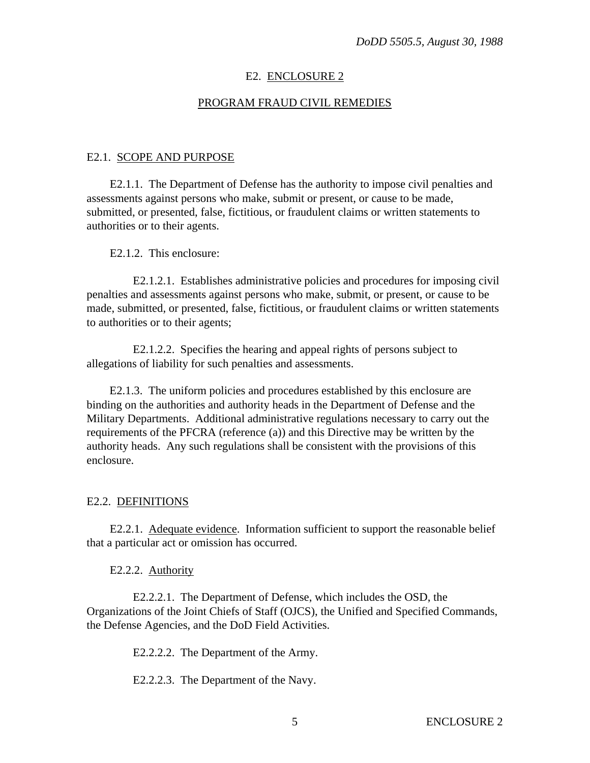## E2. ENCLOSURE 2

## PROGRAM FRAUD CIVIL REMEDIES

#### E2.1. SCOPE AND PURPOSE

E2.1.1. The Department of Defense has the authority to impose civil penalties and assessments against persons who make, submit or present, or cause to be made, submitted, or presented, false, fictitious, or fraudulent claims or written statements to authorities or to their agents.

#### E2.1.2. This enclosure:

E2.1.2.1. Establishes administrative policies and procedures for imposing civil penalties and assessments against persons who make, submit, or present, or cause to be made, submitted, or presented, false, fictitious, or fraudulent claims or written statements to authorities or to their agents;

E2.1.2.2. Specifies the hearing and appeal rights of persons subject to allegations of liability for such penalties and assessments.

E2.1.3. The uniform policies and procedures established by this enclosure are binding on the authorities and authority heads in the Department of Defense and the Military Departments. Additional administrative regulations necessary to carry out the requirements of the PFCRA (reference (a)) and this Directive may be written by the authority heads. Any such regulations shall be consistent with the provisions of this enclosure.

#### E2.2. DEFINITIONS

E2.2.1. Adequate evidence. Information sufficient to support the reasonable belief that a particular act or omission has occurred.

E2.2.2. Authority

E2.2.2.1. The Department of Defense, which includes the OSD, the Organizations of the Joint Chiefs of Staff (OJCS), the Unified and Specified Commands, the Defense Agencies, and the DoD Field Activities.

E2.2.2.2. The Department of the Army.

E2.2.2.3. The Department of the Navy.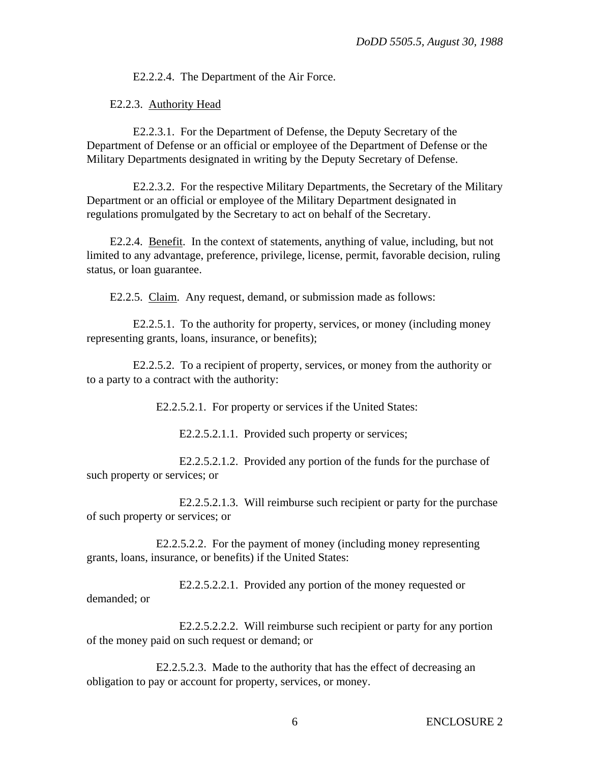E2.2.2.4. The Department of the Air Force.

E2.2.3. Authority Head

E2.2.3.1. For the Department of Defense, the Deputy Secretary of the Department of Defense or an official or employee of the Department of Defense or the Military Departments designated in writing by the Deputy Secretary of Defense.

E2.2.3.2. For the respective Military Departments, the Secretary of the Military Department or an official or employee of the Military Department designated in regulations promulgated by the Secretary to act on behalf of the Secretary.

E2.2.4. Benefit. In the context of statements, anything of value, including, but not limited to any advantage, preference, privilege, license, permit, favorable decision, ruling status, or loan guarantee.

E2.2.5. Claim. Any request, demand, or submission made as follows:

E2.2.5.1. To the authority for property, services, or money (including money representing grants, loans, insurance, or benefits);

E2.2.5.2. To a recipient of property, services, or money from the authority or to a party to a contract with the authority:

E2.2.5.2.1. For property or services if the United States:

E2.2.5.2.1.1. Provided such property or services;

E2.2.5.2.1.2. Provided any portion of the funds for the purchase of such property or services; or

E2.2.5.2.1.3. Will reimburse such recipient or party for the purchase of such property or services; or

E2.2.5.2.2. For the payment of money (including money representing grants, loans, insurance, or benefits) if the United States:

E2.2.5.2.2.1. Provided any portion of the money requested or demanded; or

E2.2.5.2.2.2. Will reimburse such recipient or party for any portion of the money paid on such request or demand; or

E2.2.5.2.3. Made to the authority that has the effect of decreasing an obligation to pay or account for property, services, or money.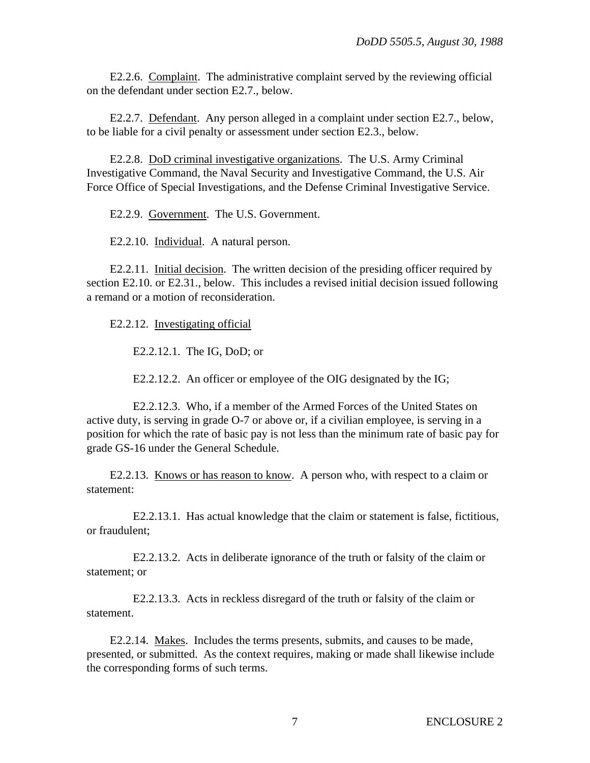E2.2.6. Complaint. The administrative complaint served by the reviewing official on the defendant under section E2.7., below.

E2.2.7. Defendant. Any person alleged in a complaint under section E2.7., below, to be liable for a civil penalty or assessment under section E2.3., below.

E2.2.8. DoD criminal investigative organizations. The U.S. Army Criminal Investigative Command, the Naval Security and Investigative Command, the U.S. Air Force Office of Special Investigations, and the Defense Criminal Investigative Service.

E2.2.9. Government. The U.S. Government.

E2.2.10. Individual. A natural person.

E2.2.11. Initial decision. The written decision of the presiding officer required by section E2.10. or E2.31., below. This includes a revised initial decision issued following a remand or a motion of reconsideration.

E2.2.12. Investigating official

E2.2.12.1. The IG, DoD; or

E2.2.12.2. An officer or employee of the OIG designated by the IG;

E2.2.12.3. Who, if a member of the Armed Forces of the United States on active duty, is serving in grade O-7 or above or, if a civilian employee, is serving in a position for which the rate of basic pay is not less than the minimum rate of basic pay for grade GS-16 under the General Schedule.

E2.2.13. Knows or has reason to know. A person who, with respect to a claim or statement:

E2.2.13.1. Has actual knowledge that the claim or statement is false, fictitious, or fraudulent;

E2.2.13.2. Acts in deliberate ignorance of the truth or falsity of the claim or statement; or

E2.2.13.3. Acts in reckless disregard of the truth or falsity of the claim or statement.

E2.2.14. Makes. Includes the terms presents, submits, and causes to be made, presented, or submitted. As the context requires, making or made shall likewise include the corresponding forms of such terms.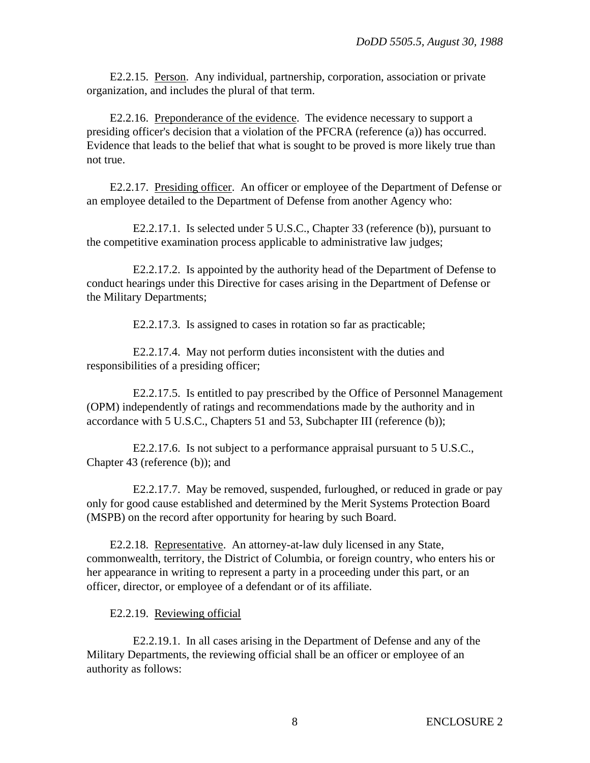E2.2.15. Person. Any individual, partnership, corporation, association or private organization, and includes the plural of that term.

E2.2.16. Preponderance of the evidence. The evidence necessary to support a presiding officer's decision that a violation of the PFCRA (reference (a)) has occurred. Evidence that leads to the belief that what is sought to be proved is more likely true than not true.

E2.2.17. Presiding officer. An officer or employee of the Department of Defense or an employee detailed to the Department of Defense from another Agency who:

E2.2.17.1. Is selected under 5 U.S.C., Chapter 33 (reference (b)), pursuant to the competitive examination process applicable to administrative law judges;

E2.2.17.2. Is appointed by the authority head of the Department of Defense to conduct hearings under this Directive for cases arising in the Department of Defense or the Military Departments;

E2.2.17.3. Is assigned to cases in rotation so far as practicable;

E2.2.17.4. May not perform duties inconsistent with the duties and responsibilities of a presiding officer;

E2.2.17.5. Is entitled to pay prescribed by the Office of Personnel Management (OPM) independently of ratings and recommendations made by the authority and in accordance with 5 U.S.C., Chapters 51 and 53, Subchapter III (reference (b));

E2.2.17.6. Is not subject to a performance appraisal pursuant to 5 U.S.C., Chapter 43 (reference (b)); and

E2.2.17.7. May be removed, suspended, furloughed, or reduced in grade or pay only for good cause established and determined by the Merit Systems Protection Board (MSPB) on the record after opportunity for hearing by such Board.

E2.2.18. Representative. An attorney-at-law duly licensed in any State, commonwealth, territory, the District of Columbia, or foreign country, who enters his or her appearance in writing to represent a party in a proceeding under this part, or an officer, director, or employee of a defendant or of its affiliate.

E2.2.19. Reviewing official

E2.2.19.1. In all cases arising in the Department of Defense and any of the Military Departments, the reviewing official shall be an officer or employee of an authority as follows: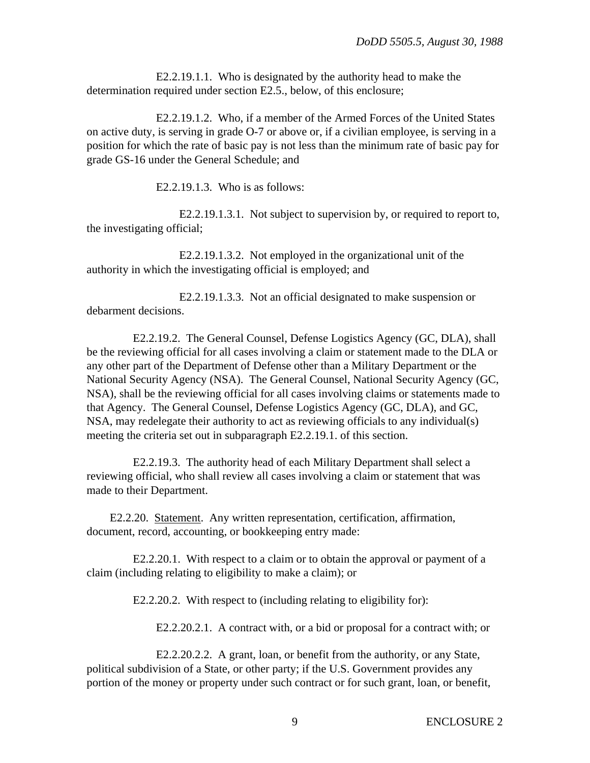E2.2.19.1.1. Who is designated by the authority head to make the determination required under section E2.5., below, of this enclosure;

E2.2.19.1.2. Who, if a member of the Armed Forces of the United States on active duty, is serving in grade O-7 or above or, if a civilian employee, is serving in a position for which the rate of basic pay is not less than the minimum rate of basic pay for grade GS-16 under the General Schedule; and

E2.2.19.1.3. Who is as follows:

E2.2.19.1.3.1. Not subject to supervision by, or required to report to, the investigating official;

E2.2.19.1.3.2. Not employed in the organizational unit of the authority in which the investigating official is employed; and

E2.2.19.1.3.3. Not an official designated to make suspension or debarment decisions.

E2.2.19.2. The General Counsel, Defense Logistics Agency (GC, DLA), shall be the reviewing official for all cases involving a claim or statement made to the DLA or any other part of the Department of Defense other than a Military Department or the National Security Agency (NSA). The General Counsel, National Security Agency (GC, NSA), shall be the reviewing official for all cases involving claims or statements made to that Agency. The General Counsel, Defense Logistics Agency (GC, DLA), and GC, NSA, may redelegate their authority to act as reviewing officials to any individual(s) meeting the criteria set out in subparagraph E2.2.19.1. of this section.

E2.2.19.3. The authority head of each Military Department shall select a reviewing official, who shall review all cases involving a claim or statement that was made to their Department.

E2.2.20. Statement. Any written representation, certification, affirmation, document, record, accounting, or bookkeeping entry made:

E2.2.20.1. With respect to a claim or to obtain the approval or payment of a claim (including relating to eligibility to make a claim); or

E2.2.20.2. With respect to (including relating to eligibility for):

E2.2.20.2.1. A contract with, or a bid or proposal for a contract with; or

E2.2.20.2.2. A grant, loan, or benefit from the authority, or any State, political subdivision of a State, or other party; if the U.S. Government provides any portion of the money or property under such contract or for such grant, loan, or benefit,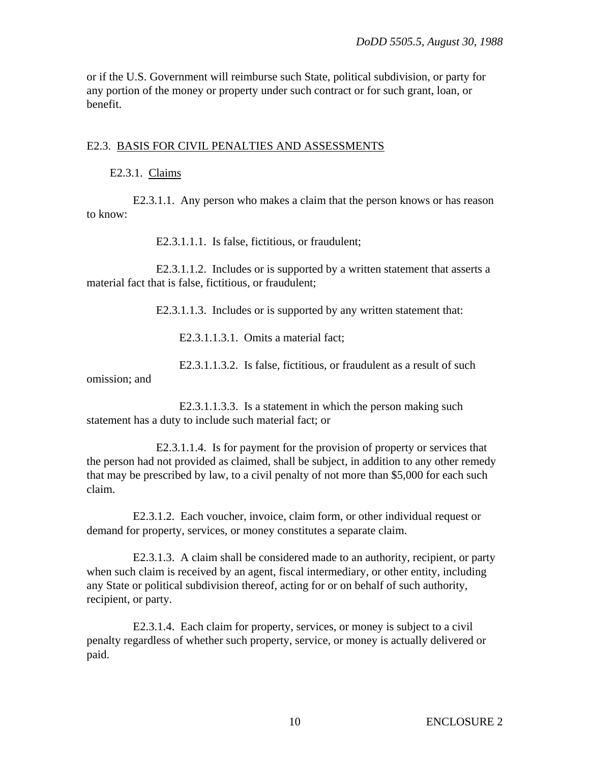or if the U.S. Government will reimburse such State, political subdivision, or party for any portion of the money or property under such contract or for such grant, loan, or benefit.

#### E2.3. BASIS FOR CIVIL PENALTIES AND ASSESSMENTS

#### E2.3.1. Claims

E2.3.1.1. Any person who makes a claim that the person knows or has reason to know:

E2.3.1.1.1. Is false, fictitious, or fraudulent;

E2.3.1.1.2. Includes or is supported by a written statement that asserts a material fact that is false, fictitious, or fraudulent;

E2.3.1.1.3. Includes or is supported by any written statement that:

E2.3.1.1.3.1. Omits a material fact;

E2.3.1.1.3.2. Is false, fictitious, or fraudulent as a result of such

omission; and

E2.3.1.1.3.3. Is a statement in which the person making such statement has a duty to include such material fact; or

E2.3.1.1.4. Is for payment for the provision of property or services that the person had not provided as claimed, shall be subject, in addition to any other remedy that may be prescribed by law, to a civil penalty of not more than \$5,000 for each such claim.

E2.3.1.2. Each voucher, invoice, claim form, or other individual request or demand for property, services, or money constitutes a separate claim.

E2.3.1.3. A claim shall be considered made to an authority, recipient, or party when such claim is received by an agent, fiscal intermediary, or other entity, including any State or political subdivision thereof, acting for or on behalf of such authority, recipient, or party.

E2.3.1.4. Each claim for property, services, or money is subject to a civil penalty regardless of whether such property, service, or money is actually delivered or paid.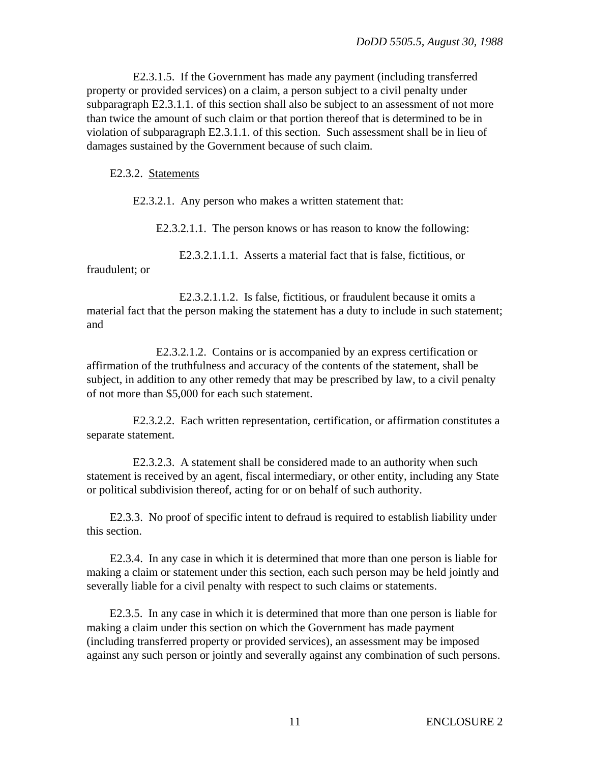E2.3.1.5. If the Government has made any payment (including transferred property or provided services) on a claim, a person subject to a civil penalty under subparagraph E2.3.1.1. of this section shall also be subject to an assessment of not more than twice the amount of such claim or that portion thereof that is determined to be in violation of subparagraph E2.3.1.1. of this section. Such assessment shall be in lieu of damages sustained by the Government because of such claim.

#### E2.3.2. Statements

E2.3.2.1. Any person who makes a written statement that:

E2.3.2.1.1. The person knows or has reason to know the following:

E2.3.2.1.1.1. Asserts a material fact that is false, fictitious, or

fraudulent; or

E2.3.2.1.1.2. Is false, fictitious, or fraudulent because it omits a material fact that the person making the statement has a duty to include in such statement; and

E2.3.2.1.2. Contains or is accompanied by an express certification or affirmation of the truthfulness and accuracy of the contents of the statement, shall be subject, in addition to any other remedy that may be prescribed by law, to a civil penalty of not more than \$5,000 for each such statement.

E2.3.2.2. Each written representation, certification, or affirmation constitutes a separate statement.

E2.3.2.3. A statement shall be considered made to an authority when such statement is received by an agent, fiscal intermediary, or other entity, including any State or political subdivision thereof, acting for or on behalf of such authority.

E2.3.3. No proof of specific intent to defraud is required to establish liability under this section.

E2.3.4. In any case in which it is determined that more than one person is liable for making a claim or statement under this section, each such person may be held jointly and severally liable for a civil penalty with respect to such claims or statements.

E2.3.5. In any case in which it is determined that more than one person is liable for making a claim under this section on which the Government has made payment (including transferred property or provided services), an assessment may be imposed against any such person or jointly and severally against any combination of such persons.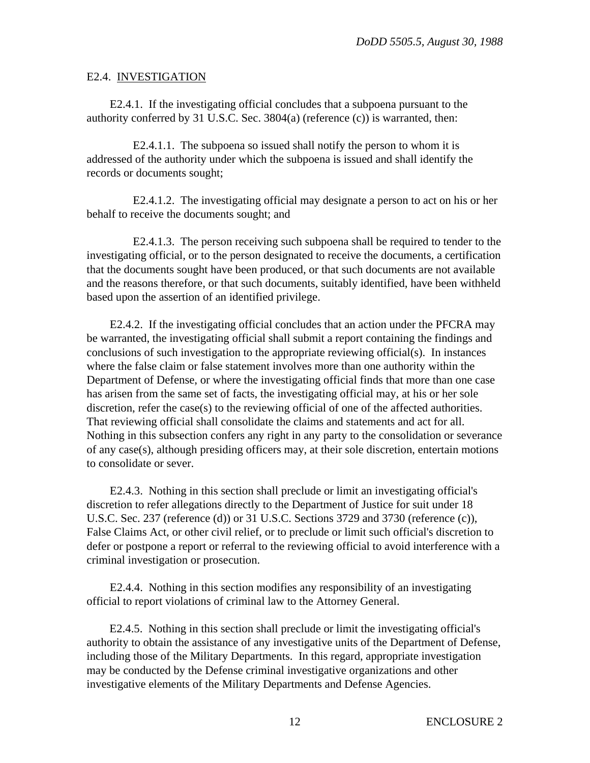## E2.4. INVESTIGATION

E2.4.1. If the investigating official concludes that a subpoena pursuant to the authority conferred by 31 U.S.C. Sec. 3804(a) (reference (c)) is warranted, then:

E2.4.1.1. The subpoena so issued shall notify the person to whom it is addressed of the authority under which the subpoena is issued and shall identify the records or documents sought;

E2.4.1.2. The investigating official may designate a person to act on his or her behalf to receive the documents sought; and

E2.4.1.3. The person receiving such subpoena shall be required to tender to the investigating official, or to the person designated to receive the documents, a certification that the documents sought have been produced, or that such documents are not available and the reasons therefore, or that such documents, suitably identified, have been withheld based upon the assertion of an identified privilege.

E2.4.2. If the investigating official concludes that an action under the PFCRA may be warranted, the investigating official shall submit a report containing the findings and conclusions of such investigation to the appropriate reviewing official(s). In instances where the false claim or false statement involves more than one authority within the Department of Defense, or where the investigating official finds that more than one case has arisen from the same set of facts, the investigating official may, at his or her sole discretion, refer the case(s) to the reviewing official of one of the affected authorities. That reviewing official shall consolidate the claims and statements and act for all. Nothing in this subsection confers any right in any party to the consolidation or severance of any case(s), although presiding officers may, at their sole discretion, entertain motions to consolidate or sever.

E2.4.3. Nothing in this section shall preclude or limit an investigating official's discretion to refer allegations directly to the Department of Justice for suit under 18 U.S.C. Sec. 237 (reference (d)) or 31 U.S.C. Sections 3729 and 3730 (reference (c)), False Claims Act, or other civil relief, or to preclude or limit such official's discretion to defer or postpone a report or referral to the reviewing official to avoid interference with a criminal investigation or prosecution.

E2.4.4. Nothing in this section modifies any responsibility of an investigating official to report violations of criminal law to the Attorney General.

E2.4.5. Nothing in this section shall preclude or limit the investigating official's authority to obtain the assistance of any investigative units of the Department of Defense, including those of the Military Departments. In this regard, appropriate investigation may be conducted by the Defense criminal investigative organizations and other investigative elements of the Military Departments and Defense Agencies.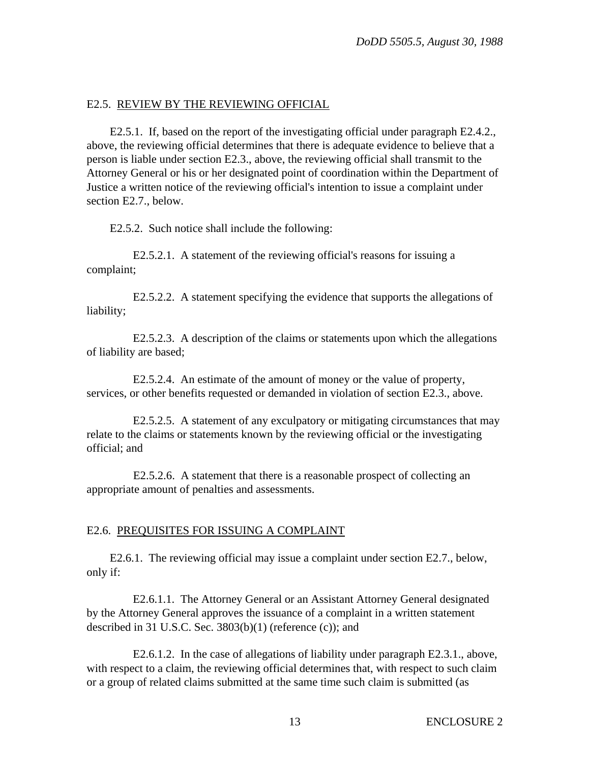# E2.5. REVIEW BY THE REVIEWING OFFICIAL

E2.5.1. If, based on the report of the investigating official under paragraph E2.4.2., above, the reviewing official determines that there is adequate evidence to believe that a person is liable under section E2.3., above, the reviewing official shall transmit to the Attorney General or his or her designated point of coordination within the Department of Justice a written notice of the reviewing official's intention to issue a complaint under section E2.7., below.

E2.5.2. Such notice shall include the following:

E2.5.2.1. A statement of the reviewing official's reasons for issuing a complaint;

E2.5.2.2. A statement specifying the evidence that supports the allegations of liability;

E2.5.2.3. A description of the claims or statements upon which the allegations of liability are based;

E2.5.2.4. An estimate of the amount of money or the value of property, services, or other benefits requested or demanded in violation of section E2.3., above.

E2.5.2.5. A statement of any exculpatory or mitigating circumstances that may relate to the claims or statements known by the reviewing official or the investigating official; and

E2.5.2.6. A statement that there is a reasonable prospect of collecting an appropriate amount of penalties and assessments.

# E2.6. PREQUISITES FOR ISSUING A COMPLAINT

E2.6.1. The reviewing official may issue a complaint under section E2.7., below, only if:

E2.6.1.1. The Attorney General or an Assistant Attorney General designated by the Attorney General approves the issuance of a complaint in a written statement described in 31 U.S.C. Sec. 3803(b)(1) (reference (c)); and

E2.6.1.2. In the case of allegations of liability under paragraph E2.3.1., above, with respect to a claim, the reviewing official determines that, with respect to such claim or a group of related claims submitted at the same time such claim is submitted (as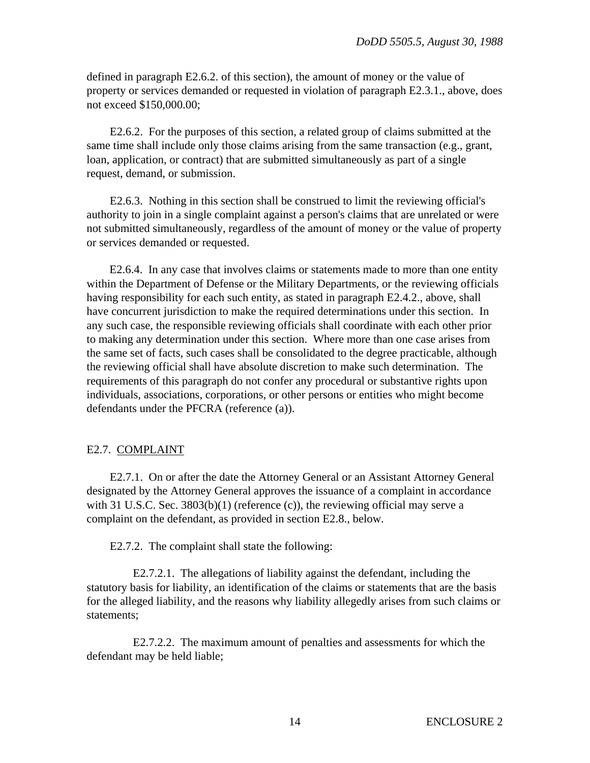defined in paragraph E2.6.2. of this section), the amount of money or the value of property or services demanded or requested in violation of paragraph E2.3.1., above, does not exceed \$150,000.00;

E2.6.2. For the purposes of this section, a related group of claims submitted at the same time shall include only those claims arising from the same transaction (e.g., grant, loan, application, or contract) that are submitted simultaneously as part of a single request, demand, or submission.

E2.6.3. Nothing in this section shall be construed to limit the reviewing official's authority to join in a single complaint against a person's claims that are unrelated or were not submitted simultaneously, regardless of the amount of money or the value of property or services demanded or requested.

E2.6.4. In any case that involves claims or statements made to more than one entity within the Department of Defense or the Military Departments, or the reviewing officials having responsibility for each such entity, as stated in paragraph E2.4.2., above, shall have concurrent jurisdiction to make the required determinations under this section. In any such case, the responsible reviewing officials shall coordinate with each other prior to making any determination under this section. Where more than one case arises from the same set of facts, such cases shall be consolidated to the degree practicable, although the reviewing official shall have absolute discretion to make such determination. The requirements of this paragraph do not confer any procedural or substantive rights upon individuals, associations, corporations, or other persons or entities who might become defendants under the PFCRA (reference (a)).

### E2.7. COMPLAINT

E2.7.1. On or after the date the Attorney General or an Assistant Attorney General designated by the Attorney General approves the issuance of a complaint in accordance with 31 U.S.C. Sec. 3803(b)(1) (reference  $(c)$ ), the reviewing official may serve a complaint on the defendant, as provided in section E2.8., below.

E2.7.2. The complaint shall state the following:

E2.7.2.1. The allegations of liability against the defendant, including the statutory basis for liability, an identification of the claims or statements that are the basis for the alleged liability, and the reasons why liability allegedly arises from such claims or statements;

E2.7.2.2. The maximum amount of penalties and assessments for which the defendant may be held liable;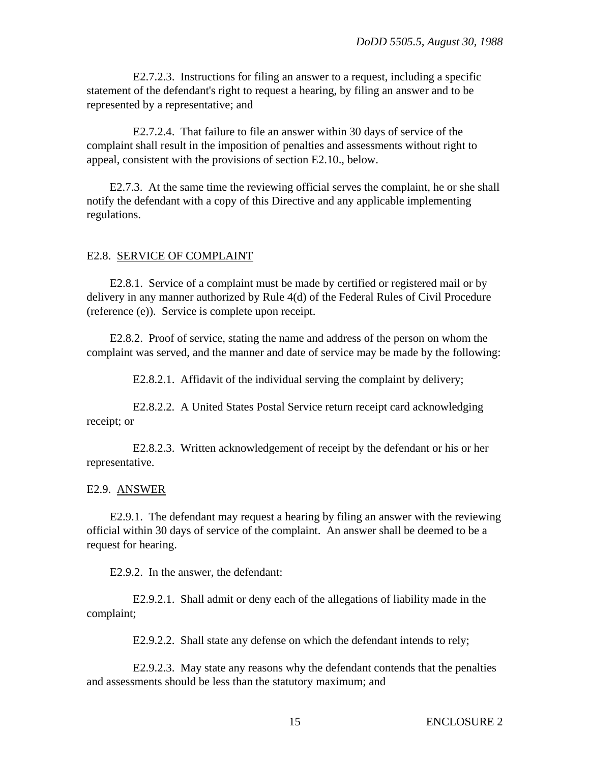E2.7.2.3. Instructions for filing an answer to a request, including a specific statement of the defendant's right to request a hearing, by filing an answer and to be represented by a representative; and

E2.7.2.4. That failure to file an answer within 30 days of service of the complaint shall result in the imposition of penalties and assessments without right to appeal, consistent with the provisions of section E2.10., below.

E2.7.3. At the same time the reviewing official serves the complaint, he or she shall notify the defendant with a copy of this Directive and any applicable implementing regulations.

#### E2.8. SERVICE OF COMPLAINT

E2.8.1. Service of a complaint must be made by certified or registered mail or by delivery in any manner authorized by Rule 4(d) of the Federal Rules of Civil Procedure (reference (e)). Service is complete upon receipt.

E2.8.2. Proof of service, stating the name and address of the person on whom the complaint was served, and the manner and date of service may be made by the following:

E2.8.2.1. Affidavit of the individual serving the complaint by delivery;

E2.8.2.2. A United States Postal Service return receipt card acknowledging receipt; or

E2.8.2.3. Written acknowledgement of receipt by the defendant or his or her representative.

#### E2.9. ANSWER

E2.9.1. The defendant may request a hearing by filing an answer with the reviewing official within 30 days of service of the complaint. An answer shall be deemed to be a request for hearing.

E2.9.2. In the answer, the defendant:

E2.9.2.1. Shall admit or deny each of the allegations of liability made in the complaint;

E2.9.2.2. Shall state any defense on which the defendant intends to rely;

E2.9.2.3. May state any reasons why the defendant contends that the penalties and assessments should be less than the statutory maximum; and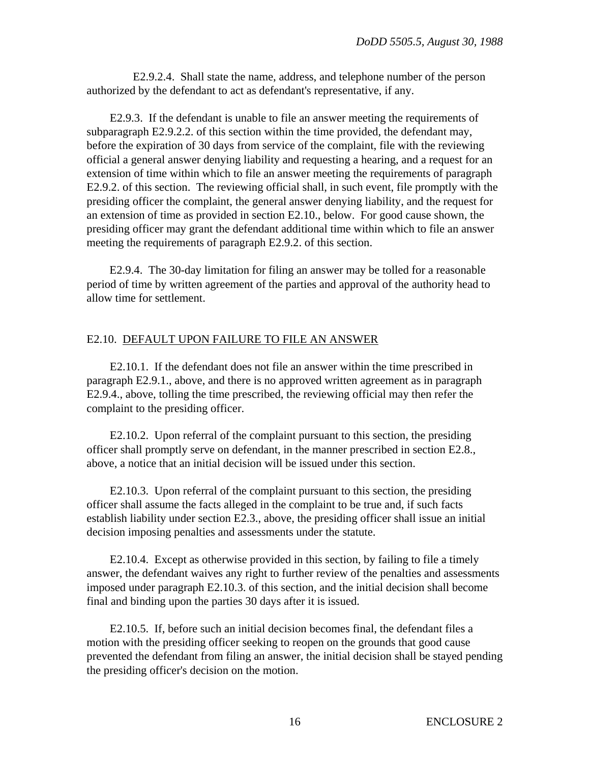E2.9.2.4. Shall state the name, address, and telephone number of the person authorized by the defendant to act as defendant's representative, if any.

E2.9.3. If the defendant is unable to file an answer meeting the requirements of subparagraph E2.9.2.2. of this section within the time provided, the defendant may, before the expiration of 30 days from service of the complaint, file with the reviewing official a general answer denying liability and requesting a hearing, and a request for an extension of time within which to file an answer meeting the requirements of paragraph E2.9.2. of this section. The reviewing official shall, in such event, file promptly with the presiding officer the complaint, the general answer denying liability, and the request for an extension of time as provided in section E2.10., below. For good cause shown, the presiding officer may grant the defendant additional time within which to file an answer meeting the requirements of paragraph E2.9.2. of this section.

E2.9.4. The 30-day limitation for filing an answer may be tolled for a reasonable period of time by written agreement of the parties and approval of the authority head to allow time for settlement.

#### E2.10. DEFAULT UPON FAILURE TO FILE AN ANSWER

E2.10.1. If the defendant does not file an answer within the time prescribed in paragraph E2.9.1., above, and there is no approved written agreement as in paragraph E2.9.4., above, tolling the time prescribed, the reviewing official may then refer the complaint to the presiding officer.

E2.10.2. Upon referral of the complaint pursuant to this section, the presiding officer shall promptly serve on defendant, in the manner prescribed in section E2.8., above, a notice that an initial decision will be issued under this section.

E2.10.3. Upon referral of the complaint pursuant to this section, the presiding officer shall assume the facts alleged in the complaint to be true and, if such facts establish liability under section E2.3., above, the presiding officer shall issue an initial decision imposing penalties and assessments under the statute.

E2.10.4. Except as otherwise provided in this section, by failing to file a timely answer, the defendant waives any right to further review of the penalties and assessments imposed under paragraph E2.10.3. of this section, and the initial decision shall become final and binding upon the parties 30 days after it is issued.

E2.10.5. If, before such an initial decision becomes final, the defendant files a motion with the presiding officer seeking to reopen on the grounds that good cause prevented the defendant from filing an answer, the initial decision shall be stayed pending the presiding officer's decision on the motion.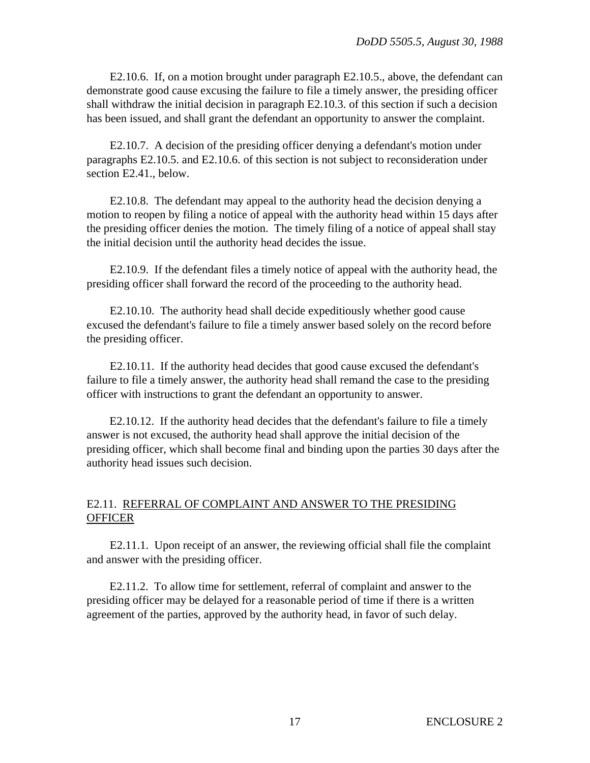E2.10.6. If, on a motion brought under paragraph E2.10.5., above, the defendant can demonstrate good cause excusing the failure to file a timely answer, the presiding officer shall withdraw the initial decision in paragraph E2.10.3. of this section if such a decision has been issued, and shall grant the defendant an opportunity to answer the complaint.

E2.10.7. A decision of the presiding officer denying a defendant's motion under paragraphs E2.10.5. and E2.10.6. of this section is not subject to reconsideration under section E2.41., below.

E2.10.8. The defendant may appeal to the authority head the decision denying a motion to reopen by filing a notice of appeal with the authority head within 15 days after the presiding officer denies the motion. The timely filing of a notice of appeal shall stay the initial decision until the authority head decides the issue.

E2.10.9. If the defendant files a timely notice of appeal with the authority head, the presiding officer shall forward the record of the proceeding to the authority head.

E2.10.10. The authority head shall decide expeditiously whether good cause excused the defendant's failure to file a timely answer based solely on the record before the presiding officer.

E2.10.11. If the authority head decides that good cause excused the defendant's failure to file a timely answer, the authority head shall remand the case to the presiding officer with instructions to grant the defendant an opportunity to answer.

E2.10.12. If the authority head decides that the defendant's failure to file a timely answer is not excused, the authority head shall approve the initial decision of the presiding officer, which shall become final and binding upon the parties 30 days after the authority head issues such decision.

# E2.11. REFERRAL OF COMPLAINT AND ANSWER TO THE PRESIDING **OFFICER**

E2.11.1. Upon receipt of an answer, the reviewing official shall file the complaint and answer with the presiding officer.

E2.11.2. To allow time for settlement, referral of complaint and answer to the presiding officer may be delayed for a reasonable period of time if there is a written agreement of the parties, approved by the authority head, in favor of such delay.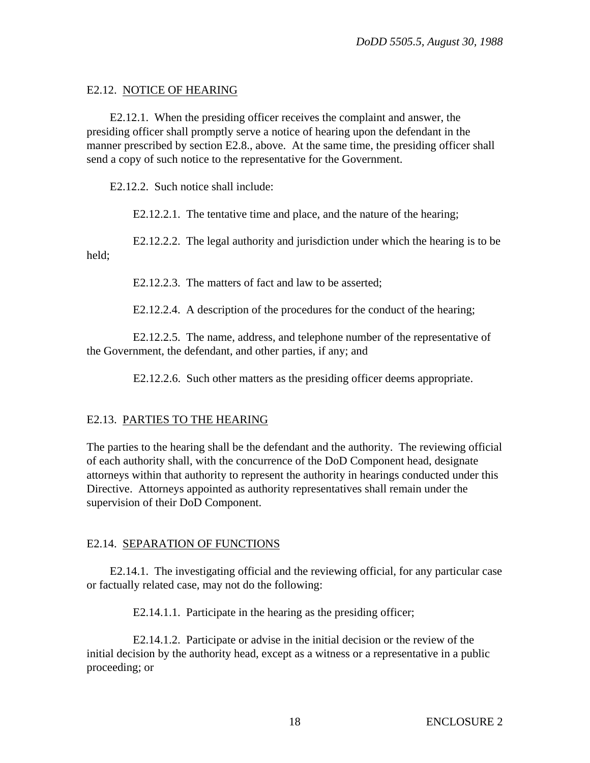## E2.12. NOTICE OF HEARING

E2.12.1. When the presiding officer receives the complaint and answer, the presiding officer shall promptly serve a notice of hearing upon the defendant in the manner prescribed by section E2.8., above. At the same time, the presiding officer shall send a copy of such notice to the representative for the Government.

E2.12.2. Such notice shall include:

E2.12.2.1. The tentative time and place, and the nature of the hearing;

E2.12.2.2. The legal authority and jurisdiction under which the hearing is to be held;

E2.12.2.3. The matters of fact and law to be asserted:

E2.12.2.4. A description of the procedures for the conduct of the hearing;

E2.12.2.5. The name, address, and telephone number of the representative of the Government, the defendant, and other parties, if any; and

E2.12.2.6. Such other matters as the presiding officer deems appropriate.

### E2.13. PARTIES TO THE HEARING

The parties to the hearing shall be the defendant and the authority. The reviewing official of each authority shall, with the concurrence of the DoD Component head, designate attorneys within that authority to represent the authority in hearings conducted under this Directive. Attorneys appointed as authority representatives shall remain under the supervision of their DoD Component.

### E2.14. SEPARATION OF FUNCTIONS

E2.14.1. The investigating official and the reviewing official, for any particular case or factually related case, may not do the following:

E2.14.1.1. Participate in the hearing as the presiding officer;

E2.14.1.2. Participate or advise in the initial decision or the review of the initial decision by the authority head, except as a witness or a representative in a public proceeding; or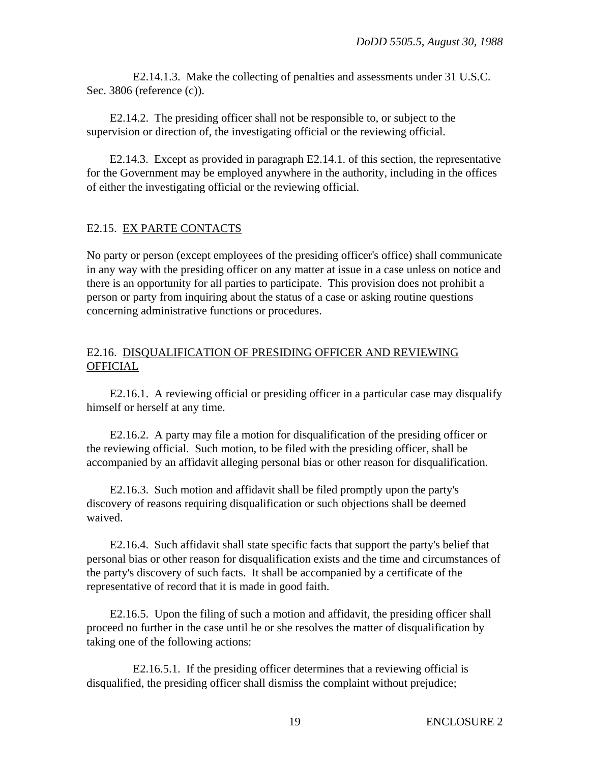E2.14.1.3. Make the collecting of penalties and assessments under 31 U.S.C. Sec. 3806 (reference (c)).

E2.14.2. The presiding officer shall not be responsible to, or subject to the supervision or direction of, the investigating official or the reviewing official.

E2.14.3. Except as provided in paragraph E2.14.1. of this section, the representative for the Government may be employed anywhere in the authority, including in the offices of either the investigating official or the reviewing official.

## E2.15. EX PARTE CONTACTS

No party or person (except employees of the presiding officer's office) shall communicate in any way with the presiding officer on any matter at issue in a case unless on notice and there is an opportunity for all parties to participate. This provision does not prohibit a person or party from inquiring about the status of a case or asking routine questions concerning administrative functions or procedures.

## E2.16. DISQUALIFICATION OF PRESIDING OFFICER AND REVIEWING **OFFICIAL**

E2.16.1. A reviewing official or presiding officer in a particular case may disqualify himself or herself at any time.

E2.16.2. A party may file a motion for disqualification of the presiding officer or the reviewing official. Such motion, to be filed with the presiding officer, shall be accompanied by an affidavit alleging personal bias or other reason for disqualification.

E2.16.3. Such motion and affidavit shall be filed promptly upon the party's discovery of reasons requiring disqualification or such objections shall be deemed waived.

E2.16.4. Such affidavit shall state specific facts that support the party's belief that personal bias or other reason for disqualification exists and the time and circumstances of the party's discovery of such facts. It shall be accompanied by a certificate of the representative of record that it is made in good faith.

E2.16.5. Upon the filing of such a motion and affidavit, the presiding officer shall proceed no further in the case until he or she resolves the matter of disqualification by taking one of the following actions:

E2.16.5.1. If the presiding officer determines that a reviewing official is disqualified, the presiding officer shall dismiss the complaint without prejudice;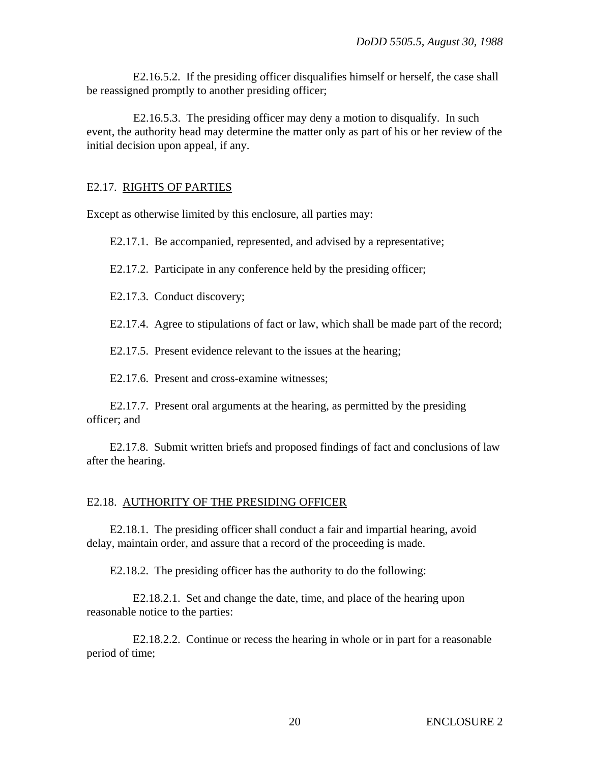E2.16.5.2. If the presiding officer disqualifies himself or herself, the case shall be reassigned promptly to another presiding officer;

E2.16.5.3. The presiding officer may deny a motion to disqualify. In such event, the authority head may determine the matter only as part of his or her review of the initial decision upon appeal, if any.

#### E2.17. RIGHTS OF PARTIES

Except as otherwise limited by this enclosure, all parties may:

E2.17.1. Be accompanied, represented, and advised by a representative;

E2.17.2. Participate in any conference held by the presiding officer;

E2.17.3. Conduct discovery;

E2.17.4. Agree to stipulations of fact or law, which shall be made part of the record;

E2.17.5. Present evidence relevant to the issues at the hearing;

E2.17.6. Present and cross-examine witnesses;

E2.17.7. Present oral arguments at the hearing, as permitted by the presiding officer; and

E2.17.8. Submit written briefs and proposed findings of fact and conclusions of law after the hearing.

#### E2.18. AUTHORITY OF THE PRESIDING OFFICER

E2.18.1. The presiding officer shall conduct a fair and impartial hearing, avoid delay, maintain order, and assure that a record of the proceeding is made.

E2.18.2. The presiding officer has the authority to do the following:

E2.18.2.1. Set and change the date, time, and place of the hearing upon reasonable notice to the parties:

E2.18.2.2. Continue or recess the hearing in whole or in part for a reasonable period of time;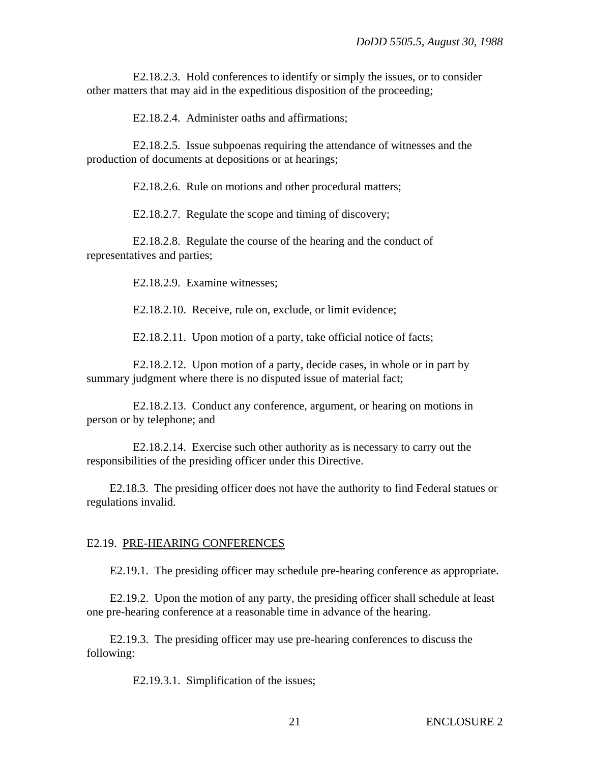E2.18.2.3. Hold conferences to identify or simply the issues, or to consider other matters that may aid in the expeditious disposition of the proceeding;

E2.18.2.4. Administer oaths and affirmations;

E2.18.2.5. Issue subpoenas requiring the attendance of witnesses and the production of documents at depositions or at hearings;

E2.18.2.6. Rule on motions and other procedural matters;

E2.18.2.7. Regulate the scope and timing of discovery;

E2.18.2.8. Regulate the course of the hearing and the conduct of representatives and parties;

E2.18.2.9. Examine witnesses;

E2.18.2.10. Receive, rule on, exclude, or limit evidence;

E2.18.2.11. Upon motion of a party, take official notice of facts;

E2.18.2.12. Upon motion of a party, decide cases, in whole or in part by summary judgment where there is no disputed issue of material fact;

E2.18.2.13. Conduct any conference, argument, or hearing on motions in person or by telephone; and

E2.18.2.14. Exercise such other authority as is necessary to carry out the responsibilities of the presiding officer under this Directive.

E2.18.3. The presiding officer does not have the authority to find Federal statues or regulations invalid.

#### E2.19. PRE-HEARING CONFERENCES

E2.19.1. The presiding officer may schedule pre-hearing conference as appropriate.

E2.19.2. Upon the motion of any party, the presiding officer shall schedule at least one pre-hearing conference at a reasonable time in advance of the hearing.

E2.19.3. The presiding officer may use pre-hearing conferences to discuss the following:

E2.19.3.1. Simplification of the issues;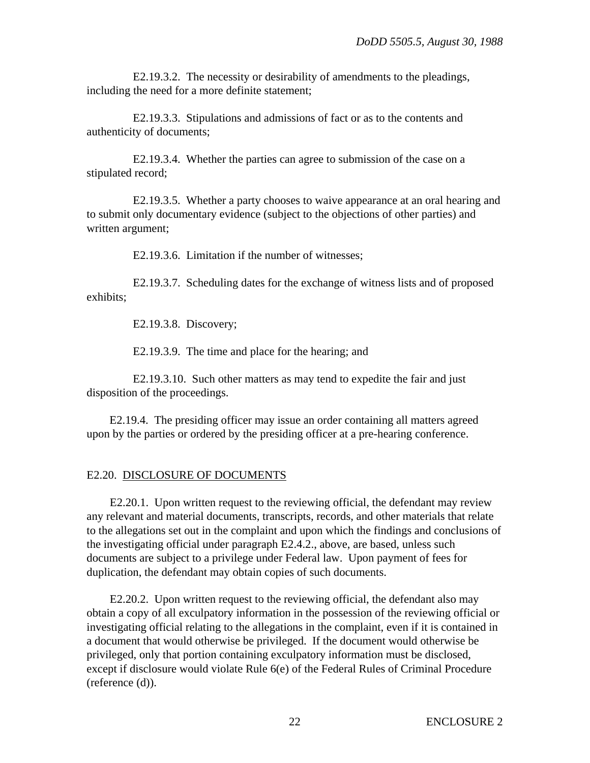E2.19.3.2. The necessity or desirability of amendments to the pleadings, including the need for a more definite statement;

E2.19.3.3. Stipulations and admissions of fact or as to the contents and authenticity of documents;

E2.19.3.4. Whether the parties can agree to submission of the case on a stipulated record;

E2.19.3.5. Whether a party chooses to waive appearance at an oral hearing and to submit only documentary evidence (subject to the objections of other parties) and written argument;

E2.19.3.6. Limitation if the number of witnesses;

E2.19.3.7. Scheduling dates for the exchange of witness lists and of proposed exhibits;

E2.19.3.8. Discovery;

E2.19.3.9. The time and place for the hearing; and

E2.19.3.10. Such other matters as may tend to expedite the fair and just disposition of the proceedings.

E2.19.4. The presiding officer may issue an order containing all matters agreed upon by the parties or ordered by the presiding officer at a pre-hearing conference.

### E2.20. DISCLOSURE OF DOCUMENTS

E2.20.1. Upon written request to the reviewing official, the defendant may review any relevant and material documents, transcripts, records, and other materials that relate to the allegations set out in the complaint and upon which the findings and conclusions of the investigating official under paragraph E2.4.2., above, are based, unless such documents are subject to a privilege under Federal law. Upon payment of fees for duplication, the defendant may obtain copies of such documents.

E2.20.2. Upon written request to the reviewing official, the defendant also may obtain a copy of all exculpatory information in the possession of the reviewing official or investigating official relating to the allegations in the complaint, even if it is contained in a document that would otherwise be privileged. If the document would otherwise be privileged, only that portion containing exculpatory information must be disclosed, except if disclosure would violate Rule 6(e) of the Federal Rules of Criminal Procedure (reference (d)).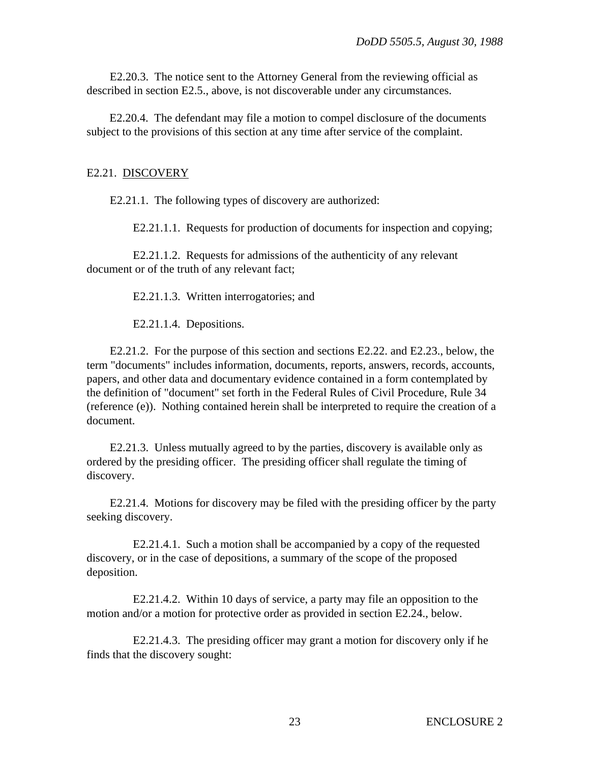E2.20.3. The notice sent to the Attorney General from the reviewing official as described in section E2.5., above, is not discoverable under any circumstances.

E2.20.4. The defendant may file a motion to compel disclosure of the documents subject to the provisions of this section at any time after service of the complaint.

#### E2.21. DISCOVERY

E2.21.1. The following types of discovery are authorized:

E2.21.1.1. Requests for production of documents for inspection and copying;

E2.21.1.2. Requests for admissions of the authenticity of any relevant document or of the truth of any relevant fact;

E2.21.1.3. Written interrogatories; and

E2.21.1.4. Depositions.

E2.21.2. For the purpose of this section and sections E2.22. and E2.23., below, the term "documents" includes information, documents, reports, answers, records, accounts, papers, and other data and documentary evidence contained in a form contemplated by the definition of "document" set forth in the Federal Rules of Civil Procedure, Rule 34 (reference (e)). Nothing contained herein shall be interpreted to require the creation of a document.

E2.21.3. Unless mutually agreed to by the parties, discovery is available only as ordered by the presiding officer. The presiding officer shall regulate the timing of discovery.

E2.21.4. Motions for discovery may be filed with the presiding officer by the party seeking discovery.

E2.21.4.1. Such a motion shall be accompanied by a copy of the requested discovery, or in the case of depositions, a summary of the scope of the proposed deposition.

E2.21.4.2. Within 10 days of service, a party may file an opposition to the motion and/or a motion for protective order as provided in section E2.24., below.

E2.21.4.3. The presiding officer may grant a motion for discovery only if he finds that the discovery sought: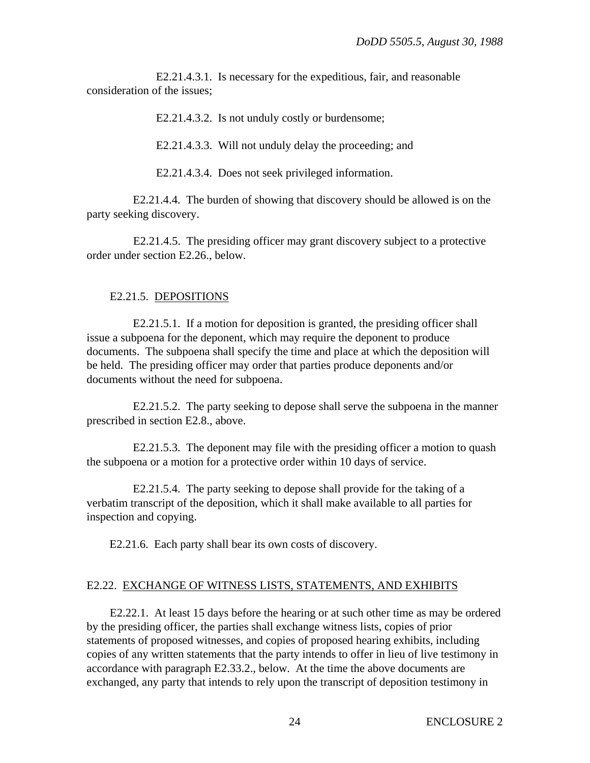E2.21.4.3.1. Is necessary for the expeditious, fair, and reasonable consideration of the issues;

E2.21.4.3.2. Is not unduly costly or burdensome;

E2.21.4.3.3. Will not unduly delay the proceeding; and

E2.21.4.3.4. Does not seek privileged information.

E2.21.4.4. The burden of showing that discovery should be allowed is on the party seeking discovery.

E2.21.4.5. The presiding officer may grant discovery subject to a protective order under section E2.26., below.

#### E2.21.5. DEPOSITIONS

E2.21.5.1. If a motion for deposition is granted, the presiding officer shall issue a subpoena for the deponent, which may require the deponent to produce documents. The subpoena shall specify the time and place at which the deposition will be held. The presiding officer may order that parties produce deponents and/or documents without the need for subpoena.

E2.21.5.2. The party seeking to depose shall serve the subpoena in the manner prescribed in section E2.8., above.

E2.21.5.3. The deponent may file with the presiding officer a motion to quash the subpoena or a motion for a protective order within 10 days of service.

E2.21.5.4. The party seeking to depose shall provide for the taking of a verbatim transcript of the deposition, which it shall make available to all parties for inspection and copying.

E2.21.6. Each party shall bear its own costs of discovery.

#### E2.22. EXCHANGE OF WITNESS LISTS, STATEMENTS, AND EXHIBITS

E2.22.1. At least 15 days before the hearing or at such other time as may be ordered by the presiding officer, the parties shall exchange witness lists, copies of prior statements of proposed witnesses, and copies of proposed hearing exhibits, including copies of any written statements that the party intends to offer in lieu of live testimony in accordance with paragraph E2.33.2., below. At the time the above documents are exchanged, any party that intends to rely upon the transcript of deposition testimony in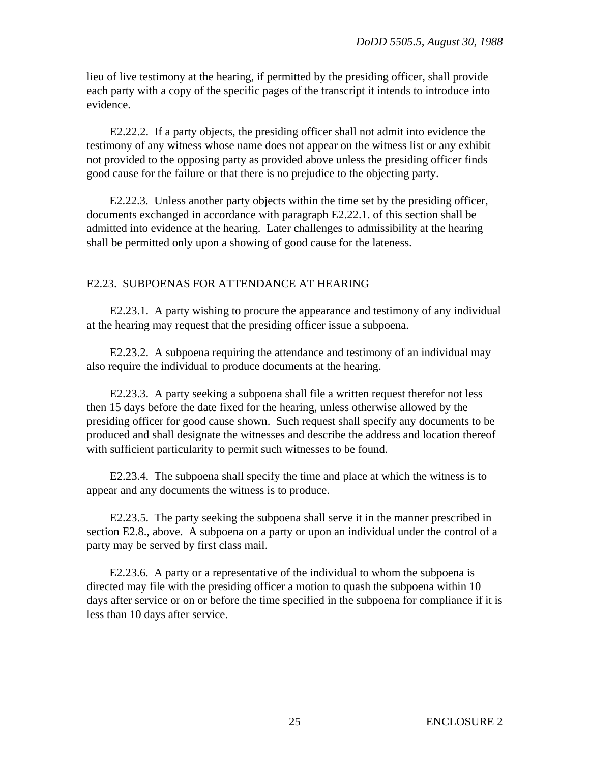lieu of live testimony at the hearing, if permitted by the presiding officer, shall provide each party with a copy of the specific pages of the transcript it intends to introduce into evidence.

E2.22.2. If a party objects, the presiding officer shall not admit into evidence the testimony of any witness whose name does not appear on the witness list or any exhibit not provided to the opposing party as provided above unless the presiding officer finds good cause for the failure or that there is no prejudice to the objecting party.

E2.22.3. Unless another party objects within the time set by the presiding officer, documents exchanged in accordance with paragraph E2.22.1. of this section shall be admitted into evidence at the hearing. Later challenges to admissibility at the hearing shall be permitted only upon a showing of good cause for the lateness.

## E2.23. SUBPOENAS FOR ATTENDANCE AT HEARING

E2.23.1. A party wishing to procure the appearance and testimony of any individual at the hearing may request that the presiding officer issue a subpoena.

E2.23.2. A subpoena requiring the attendance and testimony of an individual may also require the individual to produce documents at the hearing.

E2.23.3. A party seeking a subpoena shall file a written request therefor not less then 15 days before the date fixed for the hearing, unless otherwise allowed by the presiding officer for good cause shown. Such request shall specify any documents to be produced and shall designate the witnesses and describe the address and location thereof with sufficient particularity to permit such witnesses to be found.

E2.23.4. The subpoena shall specify the time and place at which the witness is to appear and any documents the witness is to produce.

E2.23.5. The party seeking the subpoena shall serve it in the manner prescribed in section E2.8., above. A subpoena on a party or upon an individual under the control of a party may be served by first class mail.

E2.23.6. A party or a representative of the individual to whom the subpoena is directed may file with the presiding officer a motion to quash the subpoena within 10 days after service or on or before the time specified in the subpoena for compliance if it is less than 10 days after service.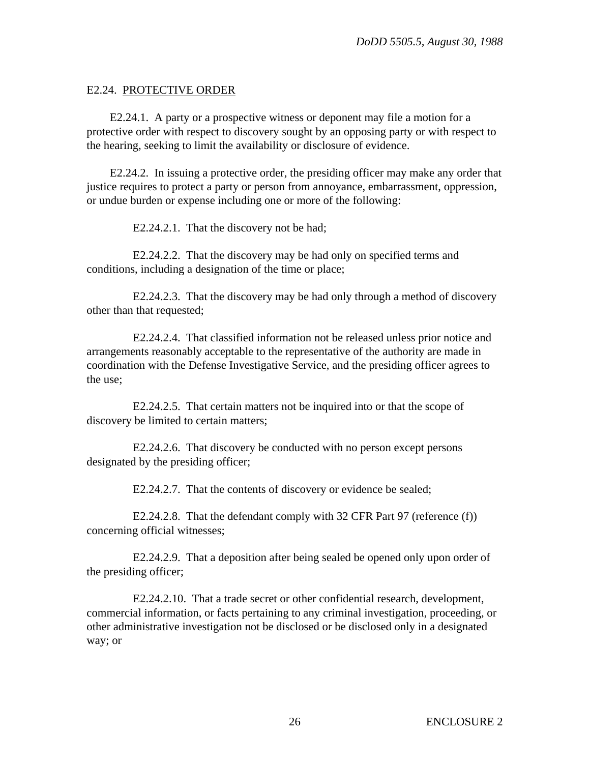#### E2.24. PROTECTIVE ORDER

E2.24.1. A party or a prospective witness or deponent may file a motion for a protective order with respect to discovery sought by an opposing party or with respect to the hearing, seeking to limit the availability or disclosure of evidence.

E2.24.2. In issuing a protective order, the presiding officer may make any order that justice requires to protect a party or person from annoyance, embarrassment, oppression, or undue burden or expense including one or more of the following:

E2.24.2.1. That the discovery not be had;

E2.24.2.2. That the discovery may be had only on specified terms and conditions, including a designation of the time or place;

E2.24.2.3. That the discovery may be had only through a method of discovery other than that requested;

E2.24.2.4. That classified information not be released unless prior notice and arrangements reasonably acceptable to the representative of the authority are made in coordination with the Defense Investigative Service, and the presiding officer agrees to the use;

E2.24.2.5. That certain matters not be inquired into or that the scope of discovery be limited to certain matters;

E2.24.2.6. That discovery be conducted with no person except persons designated by the presiding officer;

E2.24.2.7. That the contents of discovery or evidence be sealed;

E2.24.2.8. That the defendant comply with 32 CFR Part 97 (reference (f)) concerning official witnesses;

E2.24.2.9. That a deposition after being sealed be opened only upon order of the presiding officer;

E2.24.2.10. That a trade secret or other confidential research, development, commercial information, or facts pertaining to any criminal investigation, proceeding, or other administrative investigation not be disclosed or be disclosed only in a designated way; or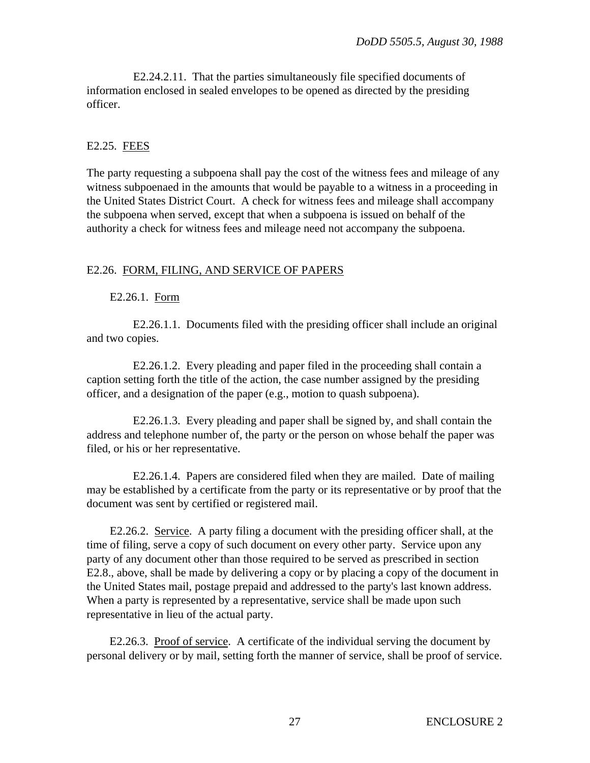E2.24.2.11. That the parties simultaneously file specified documents of information enclosed in sealed envelopes to be opened as directed by the presiding officer.

### E2.25. FEES

The party requesting a subpoena shall pay the cost of the witness fees and mileage of any witness subpoenaed in the amounts that would be payable to a witness in a proceeding in the United States District Court. A check for witness fees and mileage shall accompany the subpoena when served, except that when a subpoena is issued on behalf of the authority a check for witness fees and mileage need not accompany the subpoena.

#### E2.26. FORM, FILING, AND SERVICE OF PAPERS

E2.26.1. Form

E2.26.1.1. Documents filed with the presiding officer shall include an original and two copies.

E2.26.1.2. Every pleading and paper filed in the proceeding shall contain a caption setting forth the title of the action, the case number assigned by the presiding officer, and a designation of the paper (e.g., motion to quash subpoena).

E2.26.1.3. Every pleading and paper shall be signed by, and shall contain the address and telephone number of, the party or the person on whose behalf the paper was filed, or his or her representative.

E2.26.1.4. Papers are considered filed when they are mailed. Date of mailing may be established by a certificate from the party or its representative or by proof that the document was sent by certified or registered mail.

E2.26.2. Service. A party filing a document with the presiding officer shall, at the time of filing, serve a copy of such document on every other party. Service upon any party of any document other than those required to be served as prescribed in section E2.8., above, shall be made by delivering a copy or by placing a copy of the document in the United States mail, postage prepaid and addressed to the party's last known address. When a party is represented by a representative, service shall be made upon such representative in lieu of the actual party.

E2.26.3. Proof of service. A certificate of the individual serving the document by personal delivery or by mail, setting forth the manner of service, shall be proof of service.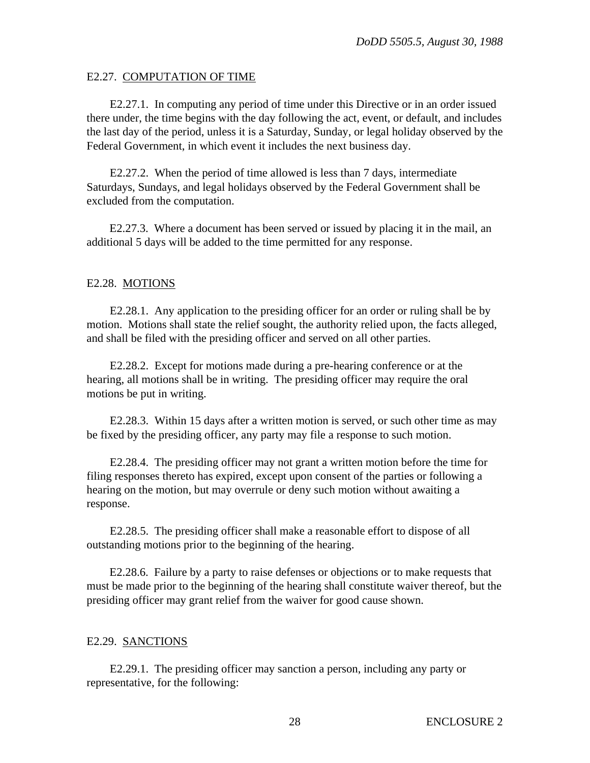#### E2.27. COMPUTATION OF TIME

E2.27.1. In computing any period of time under this Directive or in an order issued there under, the time begins with the day following the act, event, or default, and includes the last day of the period, unless it is a Saturday, Sunday, or legal holiday observed by the Federal Government, in which event it includes the next business day.

E2.27.2. When the period of time allowed is less than 7 days, intermediate Saturdays, Sundays, and legal holidays observed by the Federal Government shall be excluded from the computation.

E2.27.3. Where a document has been served or issued by placing it in the mail, an additional 5 days will be added to the time permitted for any response.

### E2.28. MOTIONS

E2.28.1. Any application to the presiding officer for an order or ruling shall be by motion. Motions shall state the relief sought, the authority relied upon, the facts alleged, and shall be filed with the presiding officer and served on all other parties.

E2.28.2. Except for motions made during a pre-hearing conference or at the hearing, all motions shall be in writing. The presiding officer may require the oral motions be put in writing.

E2.28.3. Within 15 days after a written motion is served, or such other time as may be fixed by the presiding officer, any party may file a response to such motion.

E2.28.4. The presiding officer may not grant a written motion before the time for filing responses thereto has expired, except upon consent of the parties or following a hearing on the motion, but may overrule or deny such motion without awaiting a response.

E2.28.5. The presiding officer shall make a reasonable effort to dispose of all outstanding motions prior to the beginning of the hearing.

E2.28.6. Failure by a party to raise defenses or objections or to make requests that must be made prior to the beginning of the hearing shall constitute waiver thereof, but the presiding officer may grant relief from the waiver for good cause shown.

### E2.29. SANCTIONS

E2.29.1. The presiding officer may sanction a person, including any party or representative, for the following: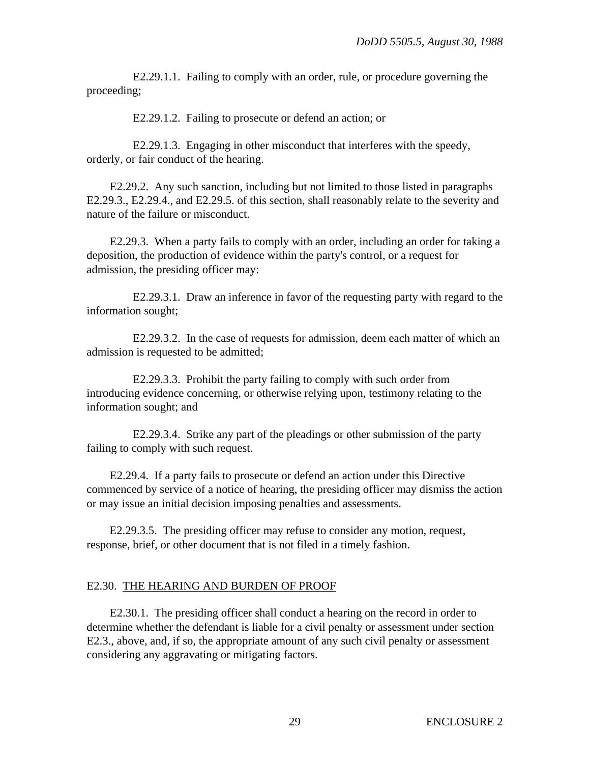E2.29.1.1. Failing to comply with an order, rule, or procedure governing the proceeding;

E2.29.1.2. Failing to prosecute or defend an action; or

E2.29.1.3. Engaging in other misconduct that interferes with the speedy, orderly, or fair conduct of the hearing.

E2.29.2. Any such sanction, including but not limited to those listed in paragraphs E2.29.3., E2.29.4., and E2.29.5. of this section, shall reasonably relate to the severity and nature of the failure or misconduct.

E2.29.3. When a party fails to comply with an order, including an order for taking a deposition, the production of evidence within the party's control, or a request for admission, the presiding officer may:

E2.29.3.1. Draw an inference in favor of the requesting party with regard to the information sought;

E2.29.3.2. In the case of requests for admission, deem each matter of which an admission is requested to be admitted;

E2.29.3.3. Prohibit the party failing to comply with such order from introducing evidence concerning, or otherwise relying upon, testimony relating to the information sought; and

E2.29.3.4. Strike any part of the pleadings or other submission of the party failing to comply with such request.

E2.29.4. If a party fails to prosecute or defend an action under this Directive commenced by service of a notice of hearing, the presiding officer may dismiss the action or may issue an initial decision imposing penalties and assessments.

E2.29.3.5. The presiding officer may refuse to consider any motion, request, response, brief, or other document that is not filed in a timely fashion.

### E2.30. THE HEARING AND BURDEN OF PROOF

E2.30.1. The presiding officer shall conduct a hearing on the record in order to determine whether the defendant is liable for a civil penalty or assessment under section E2.3., above, and, if so, the appropriate amount of any such civil penalty or assessment considering any aggravating or mitigating factors.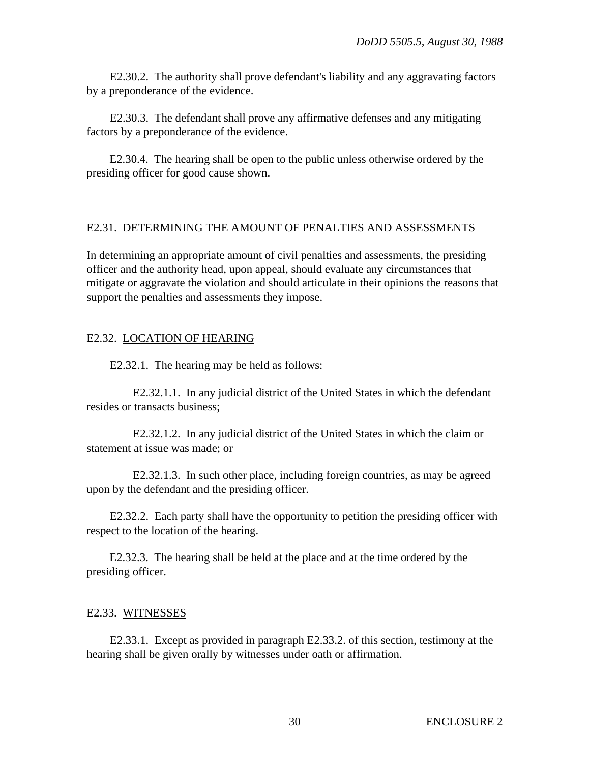E2.30.2. The authority shall prove defendant's liability and any aggravating factors by a preponderance of the evidence.

E2.30.3. The defendant shall prove any affirmative defenses and any mitigating factors by a preponderance of the evidence.

E2.30.4. The hearing shall be open to the public unless otherwise ordered by the presiding officer for good cause shown.

#### E2.31. DETERMINING THE AMOUNT OF PENALTIES AND ASSESSMENTS

In determining an appropriate amount of civil penalties and assessments, the presiding officer and the authority head, upon appeal, should evaluate any circumstances that mitigate or aggravate the violation and should articulate in their opinions the reasons that support the penalties and assessments they impose.

### E2.32. LOCATION OF HEARING

E2.32.1. The hearing may be held as follows:

E2.32.1.1. In any judicial district of the United States in which the defendant resides or transacts business;

E2.32.1.2. In any judicial district of the United States in which the claim or statement at issue was made; or

E2.32.1.3. In such other place, including foreign countries, as may be agreed upon by the defendant and the presiding officer.

E2.32.2. Each party shall have the opportunity to petition the presiding officer with respect to the location of the hearing.

E2.32.3. The hearing shall be held at the place and at the time ordered by the presiding officer.

### E2.33. WITNESSES

E2.33.1. Except as provided in paragraph E2.33.2. of this section, testimony at the hearing shall be given orally by witnesses under oath or affirmation.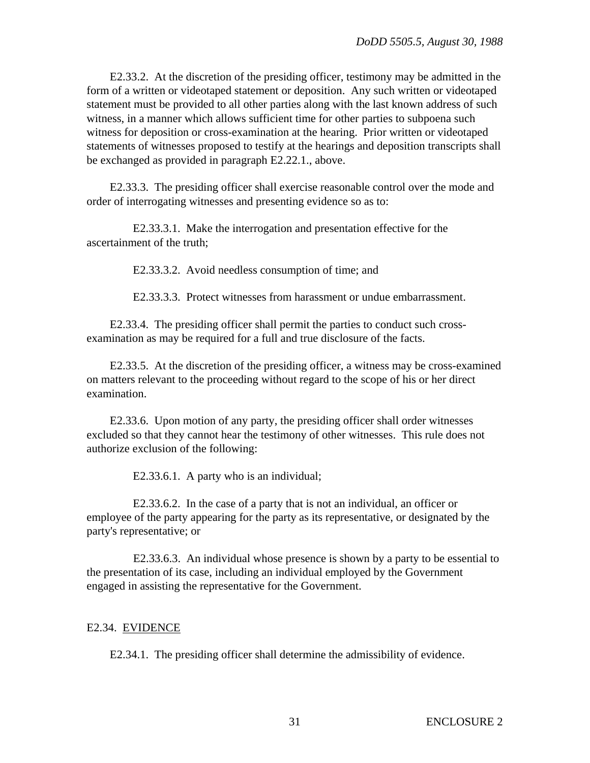E2.33.2. At the discretion of the presiding officer, testimony may be admitted in the form of a written or videotaped statement or deposition. Any such written or videotaped statement must be provided to all other parties along with the last known address of such witness, in a manner which allows sufficient time for other parties to subpoena such witness for deposition or cross-examination at the hearing. Prior written or videotaped statements of witnesses proposed to testify at the hearings and deposition transcripts shall be exchanged as provided in paragraph E2.22.1., above.

E2.33.3. The presiding officer shall exercise reasonable control over the mode and order of interrogating witnesses and presenting evidence so as to:

E2.33.3.1. Make the interrogation and presentation effective for the ascertainment of the truth;

E2.33.3.2. Avoid needless consumption of time; and

E2.33.3.3. Protect witnesses from harassment or undue embarrassment.

E2.33.4. The presiding officer shall permit the parties to conduct such crossexamination as may be required for a full and true disclosure of the facts.

E2.33.5. At the discretion of the presiding officer, a witness may be cross-examined on matters relevant to the proceeding without regard to the scope of his or her direct examination.

E2.33.6. Upon motion of any party, the presiding officer shall order witnesses excluded so that they cannot hear the testimony of other witnesses. This rule does not authorize exclusion of the following:

E2.33.6.1. A party who is an individual;

E2.33.6.2. In the case of a party that is not an individual, an officer or employee of the party appearing for the party as its representative, or designated by the party's representative; or

E2.33.6.3. An individual whose presence is shown by a party to be essential to the presentation of its case, including an individual employed by the Government engaged in assisting the representative for the Government.

### E2.34. EVIDENCE

E2.34.1. The presiding officer shall determine the admissibility of evidence.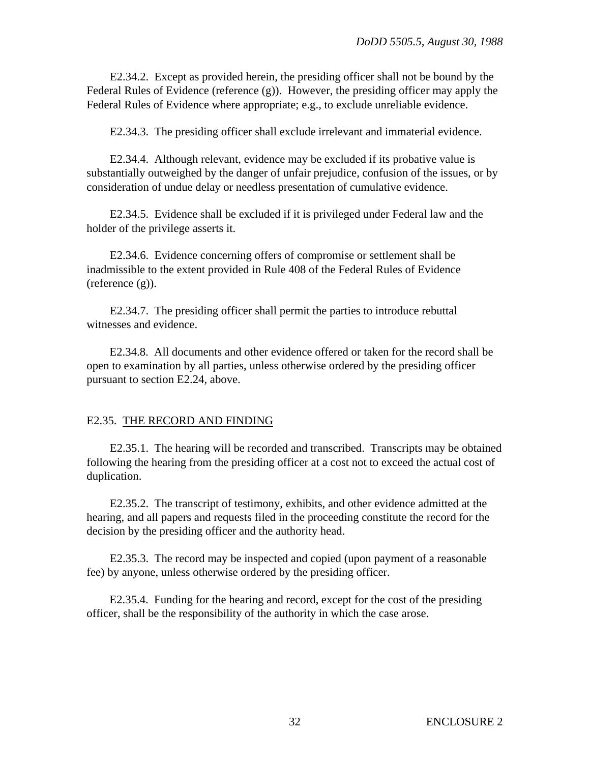E2.34.2. Except as provided herein, the presiding officer shall not be bound by the Federal Rules of Evidence (reference (g)). However, the presiding officer may apply the Federal Rules of Evidence where appropriate; e.g., to exclude unreliable evidence.

E2.34.3. The presiding officer shall exclude irrelevant and immaterial evidence.

E2.34.4. Although relevant, evidence may be excluded if its probative value is substantially outweighed by the danger of unfair prejudice, confusion of the issues, or by consideration of undue delay or needless presentation of cumulative evidence.

E2.34.5. Evidence shall be excluded if it is privileged under Federal law and the holder of the privilege asserts it.

E2.34.6. Evidence concerning offers of compromise or settlement shall be inadmissible to the extent provided in Rule 408 of the Federal Rules of Evidence (reference (g)).

E2.34.7. The presiding officer shall permit the parties to introduce rebuttal witnesses and evidence.

E2.34.8. All documents and other evidence offered or taken for the record shall be open to examination by all parties, unless otherwise ordered by the presiding officer pursuant to section E2.24, above.

### E2.35. THE RECORD AND FINDING

E2.35.1. The hearing will be recorded and transcribed. Transcripts may be obtained following the hearing from the presiding officer at a cost not to exceed the actual cost of duplication.

E2.35.2. The transcript of testimony, exhibits, and other evidence admitted at the hearing, and all papers and requests filed in the proceeding constitute the record for the decision by the presiding officer and the authority head.

E2.35.3. The record may be inspected and copied (upon payment of a reasonable fee) by anyone, unless otherwise ordered by the presiding officer.

E2.35.4. Funding for the hearing and record, except for the cost of the presiding officer, shall be the responsibility of the authority in which the case arose.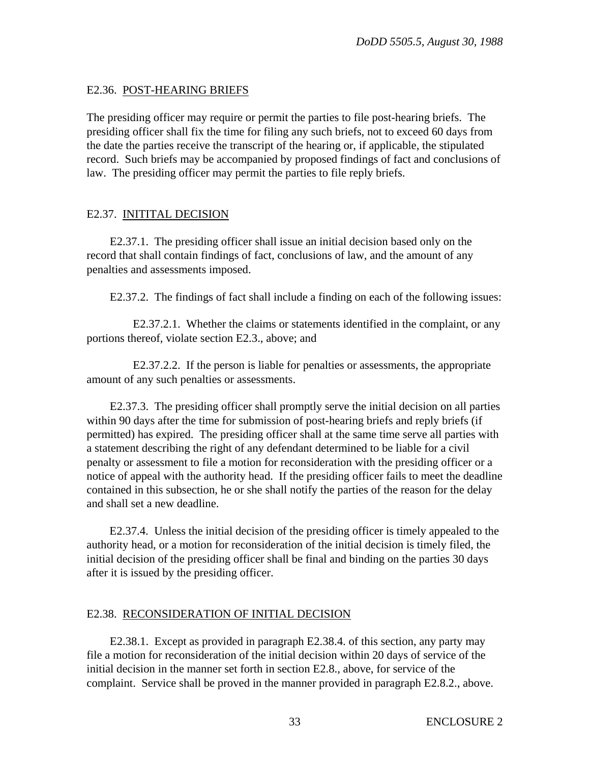## E2.36. POST-HEARING BRIEFS

The presiding officer may require or permit the parties to file post-hearing briefs. The presiding officer shall fix the time for filing any such briefs, not to exceed 60 days from the date the parties receive the transcript of the hearing or, if applicable, the stipulated record. Such briefs may be accompanied by proposed findings of fact and conclusions of law. The presiding officer may permit the parties to file reply briefs.

## E2.37. INITITAL DECISION

E2.37.1. The presiding officer shall issue an initial decision based only on the record that shall contain findings of fact, conclusions of law, and the amount of any penalties and assessments imposed.

E2.37.2. The findings of fact shall include a finding on each of the following issues:

E2.37.2.1. Whether the claims or statements identified in the complaint, or any portions thereof, violate section E2.3., above; and

E2.37.2.2. If the person is liable for penalties or assessments, the appropriate amount of any such penalties or assessments.

E2.37.3. The presiding officer shall promptly serve the initial decision on all parties within 90 days after the time for submission of post-hearing briefs and reply briefs (if permitted) has expired. The presiding officer shall at the same time serve all parties with a statement describing the right of any defendant determined to be liable for a civil penalty or assessment to file a motion for reconsideration with the presiding officer or a notice of appeal with the authority head. If the presiding officer fails to meet the deadline contained in this subsection, he or she shall notify the parties of the reason for the delay and shall set a new deadline.

E2.37.4. Unless the initial decision of the presiding officer is timely appealed to the authority head, or a motion for reconsideration of the initial decision is timely filed, the initial decision of the presiding officer shall be final and binding on the parties 30 days after it is issued by the presiding officer.

# E2.38. RECONSIDERATION OF INITIAL DECISION

E2.38.1. Except as provided in paragraph E2.38.4. of this section, any party may file a motion for reconsideration of the initial decision within 20 days of service of the initial decision in the manner set forth in section E2.8., above, for service of the complaint. Service shall be proved in the manner provided in paragraph E2.8.2., above.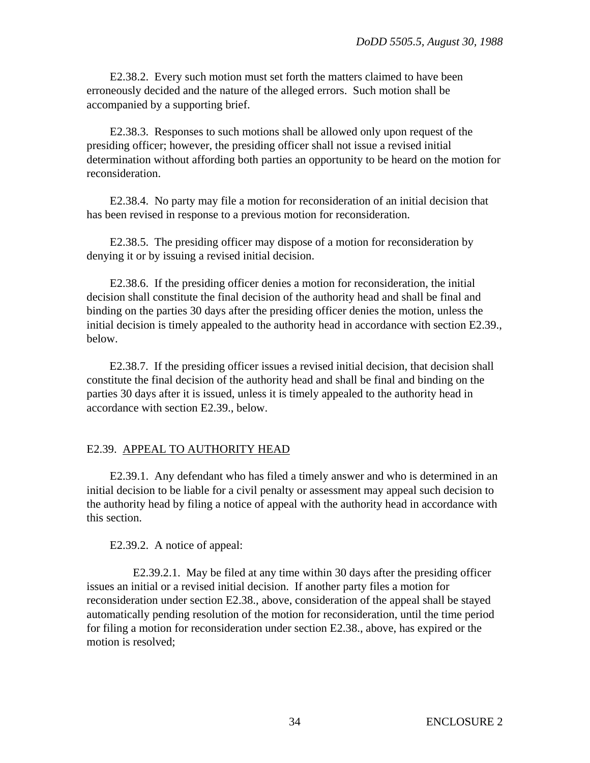E2.38.2. Every such motion must set forth the matters claimed to have been erroneously decided and the nature of the alleged errors. Such motion shall be accompanied by a supporting brief.

E2.38.3. Responses to such motions shall be allowed only upon request of the presiding officer; however, the presiding officer shall not issue a revised initial determination without affording both parties an opportunity to be heard on the motion for reconsideration.

E2.38.4. No party may file a motion for reconsideration of an initial decision that has been revised in response to a previous motion for reconsideration.

E2.38.5. The presiding officer may dispose of a motion for reconsideration by denying it or by issuing a revised initial decision.

E2.38.6. If the presiding officer denies a motion for reconsideration, the initial decision shall constitute the final decision of the authority head and shall be final and binding on the parties 30 days after the presiding officer denies the motion, unless the initial decision is timely appealed to the authority head in accordance with section E2.39., below.

E2.38.7. If the presiding officer issues a revised initial decision, that decision shall constitute the final decision of the authority head and shall be final and binding on the parties 30 days after it is issued, unless it is timely appealed to the authority head in accordance with section E2.39., below.

# E2.39. APPEAL TO AUTHORITY HEAD

E2.39.1. Any defendant who has filed a timely answer and who is determined in an initial decision to be liable for a civil penalty or assessment may appeal such decision to the authority head by filing a notice of appeal with the authority head in accordance with this section.

E2.39.2. A notice of appeal:

E2.39.2.1. May be filed at any time within 30 days after the presiding officer issues an initial or a revised initial decision. If another party files a motion for reconsideration under section E2.38., above, consideration of the appeal shall be stayed automatically pending resolution of the motion for reconsideration, until the time period for filing a motion for reconsideration under section E2.38., above, has expired or the motion is resolved;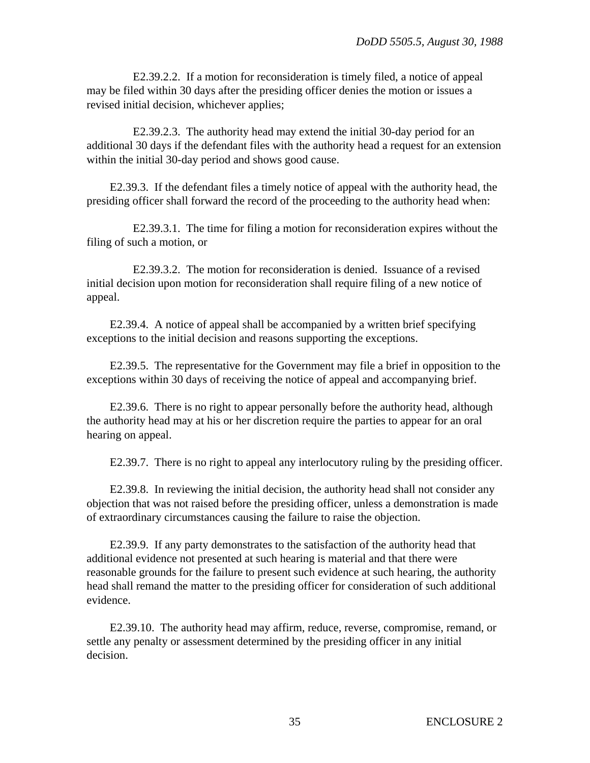E2.39.2.2. If a motion for reconsideration is timely filed, a notice of appeal may be filed within 30 days after the presiding officer denies the motion or issues a revised initial decision, whichever applies;

E2.39.2.3. The authority head may extend the initial 30-day period for an additional 30 days if the defendant files with the authority head a request for an extension within the initial 30-day period and shows good cause.

E2.39.3. If the defendant files a timely notice of appeal with the authority head, the presiding officer shall forward the record of the proceeding to the authority head when:

E2.39.3.1. The time for filing a motion for reconsideration expires without the filing of such a motion, or

E2.39.3.2. The motion for reconsideration is denied. Issuance of a revised initial decision upon motion for reconsideration shall require filing of a new notice of appeal.

E2.39.4. A notice of appeal shall be accompanied by a written brief specifying exceptions to the initial decision and reasons supporting the exceptions.

E2.39.5. The representative for the Government may file a brief in opposition to the exceptions within 30 days of receiving the notice of appeal and accompanying brief.

E2.39.6. There is no right to appear personally before the authority head, although the authority head may at his or her discretion require the parties to appear for an oral hearing on appeal.

E2.39.7. There is no right to appeal any interlocutory ruling by the presiding officer.

E2.39.8. In reviewing the initial decision, the authority head shall not consider any objection that was not raised before the presiding officer, unless a demonstration is made of extraordinary circumstances causing the failure to raise the objection.

E2.39.9. If any party demonstrates to the satisfaction of the authority head that additional evidence not presented at such hearing is material and that there were reasonable grounds for the failure to present such evidence at such hearing, the authority head shall remand the matter to the presiding officer for consideration of such additional evidence.

E2.39.10. The authority head may affirm, reduce, reverse, compromise, remand, or settle any penalty or assessment determined by the presiding officer in any initial decision.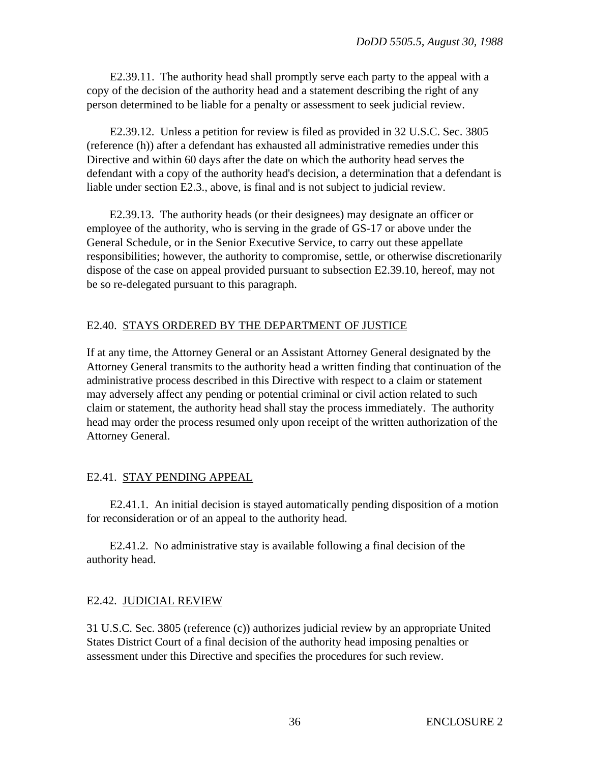E2.39.11. The authority head shall promptly serve each party to the appeal with a copy of the decision of the authority head and a statement describing the right of any person determined to be liable for a penalty or assessment to seek judicial review.

E2.39.12. Unless a petition for review is filed as provided in 32 U.S.C. Sec. 3805 (reference (h)) after a defendant has exhausted all administrative remedies under this Directive and within 60 days after the date on which the authority head serves the defendant with a copy of the authority head's decision, a determination that a defendant is liable under section E2.3., above, is final and is not subject to judicial review.

E2.39.13. The authority heads (or their designees) may designate an officer or employee of the authority, who is serving in the grade of GS-17 or above under the General Schedule, or in the Senior Executive Service, to carry out these appellate responsibilities; however, the authority to compromise, settle, or otherwise discretionarily dispose of the case on appeal provided pursuant to subsection E2.39.10, hereof, may not be so re-delegated pursuant to this paragraph.

## E2.40. STAYS ORDERED BY THE DEPARTMENT OF JUSTICE

If at any time, the Attorney General or an Assistant Attorney General designated by the Attorney General transmits to the authority head a written finding that continuation of the administrative process described in this Directive with respect to a claim or statement may adversely affect any pending or potential criminal or civil action related to such claim or statement, the authority head shall stay the process immediately. The authority head may order the process resumed only upon receipt of the written authorization of the Attorney General.

### E2.41. STAY PENDING APPEAL

E2.41.1. An initial decision is stayed automatically pending disposition of a motion for reconsideration or of an appeal to the authority head.

E2.41.2. No administrative stay is available following a final decision of the authority head.

# E2.42. JUDICIAL REVIEW

31 U.S.C. Sec. 3805 (reference (c)) authorizes judicial review by an appropriate United States District Court of a final decision of the authority head imposing penalties or assessment under this Directive and specifies the procedures for such review.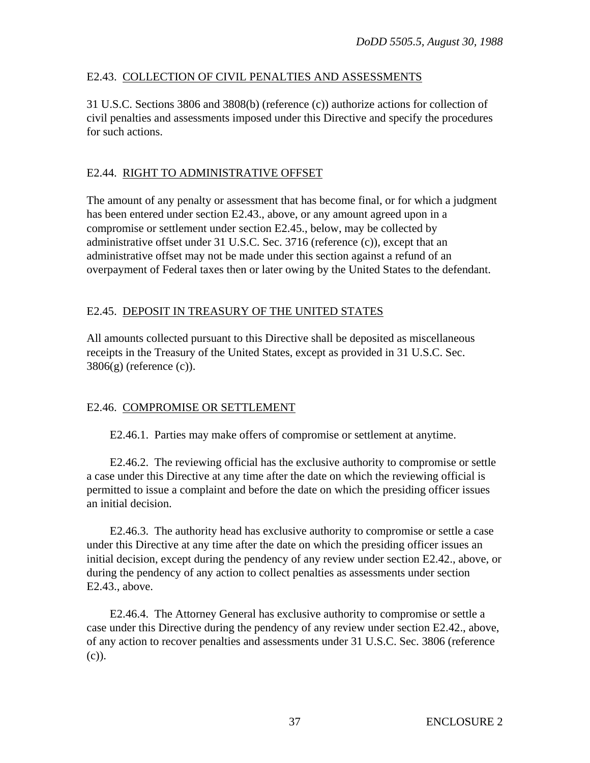# E2.43. COLLECTION OF CIVIL PENALTIES AND ASSESSMENTS

31 U.S.C. Sections 3806 and 3808(b) (reference (c)) authorize actions for collection of civil penalties and assessments imposed under this Directive and specify the procedures for such actions.

# E2.44. RIGHT TO ADMINISTRATIVE OFFSET

The amount of any penalty or assessment that has become final, or for which a judgment has been entered under section E2.43., above, or any amount agreed upon in a compromise or settlement under section E2.45., below, may be collected by administrative offset under 31 U.S.C. Sec. 3716 (reference (c)), except that an administrative offset may not be made under this section against a refund of an overpayment of Federal taxes then or later owing by the United States to the defendant.

# E2.45. DEPOSIT IN TREASURY OF THE UNITED STATES

All amounts collected pursuant to this Directive shall be deposited as miscellaneous receipts in the Treasury of the United States, except as provided in 31 U.S.C. Sec.  $3806(g)$  (reference (c)).

# E2.46. COMPROMISE OR SETTLEMENT

E2.46.1. Parties may make offers of compromise or settlement at anytime.

E2.46.2. The reviewing official has the exclusive authority to compromise or settle a case under this Directive at any time after the date on which the reviewing official is permitted to issue a complaint and before the date on which the presiding officer issues an initial decision.

E2.46.3. The authority head has exclusive authority to compromise or settle a case under this Directive at any time after the date on which the presiding officer issues an initial decision, except during the pendency of any review under section E2.42., above, or during the pendency of any action to collect penalties as assessments under section E2.43., above.

E2.46.4. The Attorney General has exclusive authority to compromise or settle a case under this Directive during the pendency of any review under section E2.42., above, of any action to recover penalties and assessments under 31 U.S.C. Sec. 3806 (reference (c)).